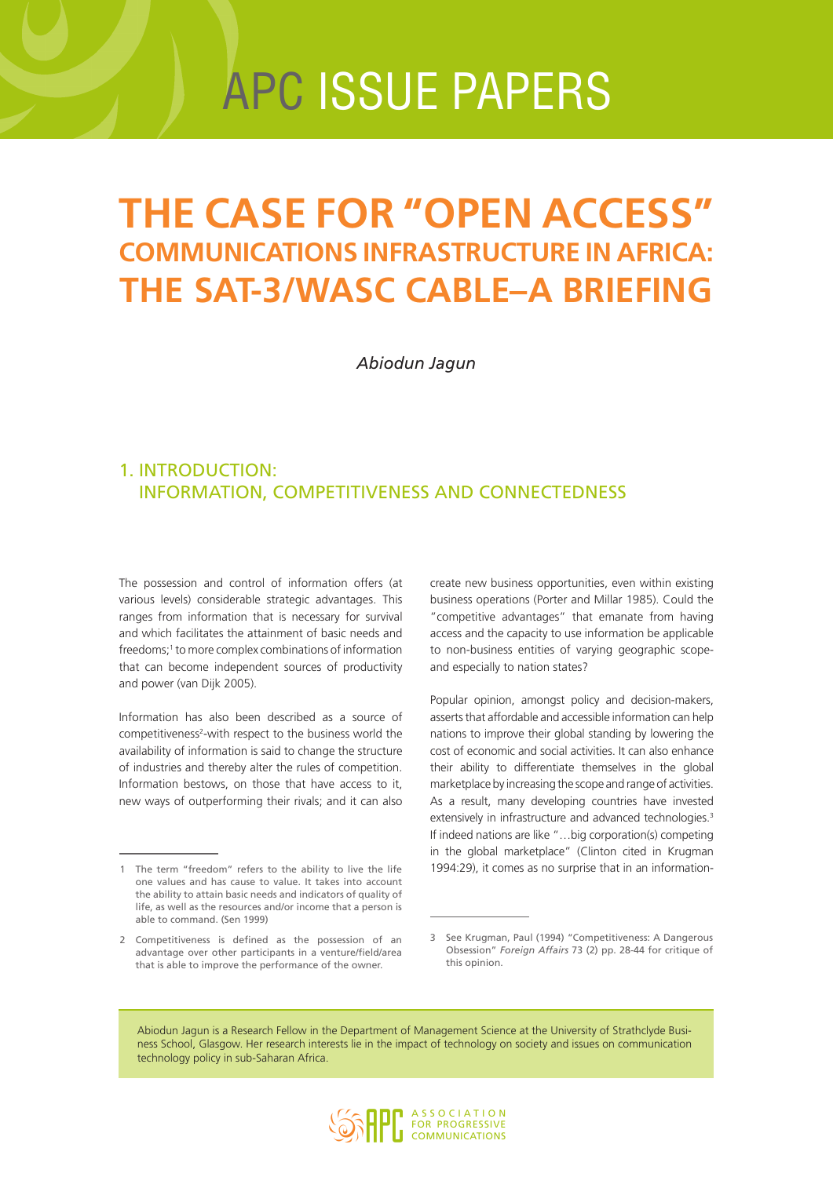# apc issue papers

## **The case for "Open Access" communications infrastructure in Africa: The SAT-3/WASC cable–a briefing**

*Abiodun Jagun*

## 1. Introduction: information, competitiveness and connectedness

The possession and control of information offers (at various levels) considerable strategic advantages. This ranges from information that is necessary for survival and which facilitates the attainment of basic needs and freedoms;<sup>1</sup> to more complex combinations of information that can become independent sources of productivity and power (van Dijk 2005).

Information has also been described as a source of competitiveness<sup>2</sup>-with respect to the business world the availability of information is said to change the structure of industries and thereby alter the rules of competition. Information bestows, on those that have access to it, new ways of outperforming their rivals; and it can also

create new business opportunities, even within existing business operations (Porter and Millar 1985). Could the "competitive advantages" that emanate from having access and the capacity to use information be applicable to non-business entities of varying geographic scopeand especially to nation states?

Popular opinion, amongst policy and decision-makers, asserts that affordable and accessible information can help nations to improve their global standing by lowering the cost of economic and social activities. It can also enhance their ability to differentiate themselves in the global marketplace by increasing the scope and range of activities. As a result, many developing countries have invested extensively in infrastructure and advanced technologies.<sup>3</sup> If indeed nations are like "…big corporation(s) competing in the global marketplace" (Clinton cited in Krugman 1994:29), it comes as no surprise that in an information-

Abiodun Jagun is a Research Fellow in the Department of Management Science at the University of Strathclyde Business School, Glasgow. Her research interests lie in the impact of technology on society and issues on communication technology policy in sub-Saharan Africa.



<sup>1</sup> The term "freedom" refers to the ability to live the life one values and has cause to value. It takes into account the ability to attain basic needs and indicators of quality of life, as well as the resources and/or income that a person is able to command. (Sen 1999)

<sup>2</sup> Competitiveness is defined as the possession of an advantage over other participants in a venture/field/area that is able to improve the performance of the owner.

<sup>3</sup> See Krugman, Paul (1994) "Competitiveness: A Dangerous Obsession" *Foreign Affairs* 73 (2) pp. 28-44 for critique of this opinion.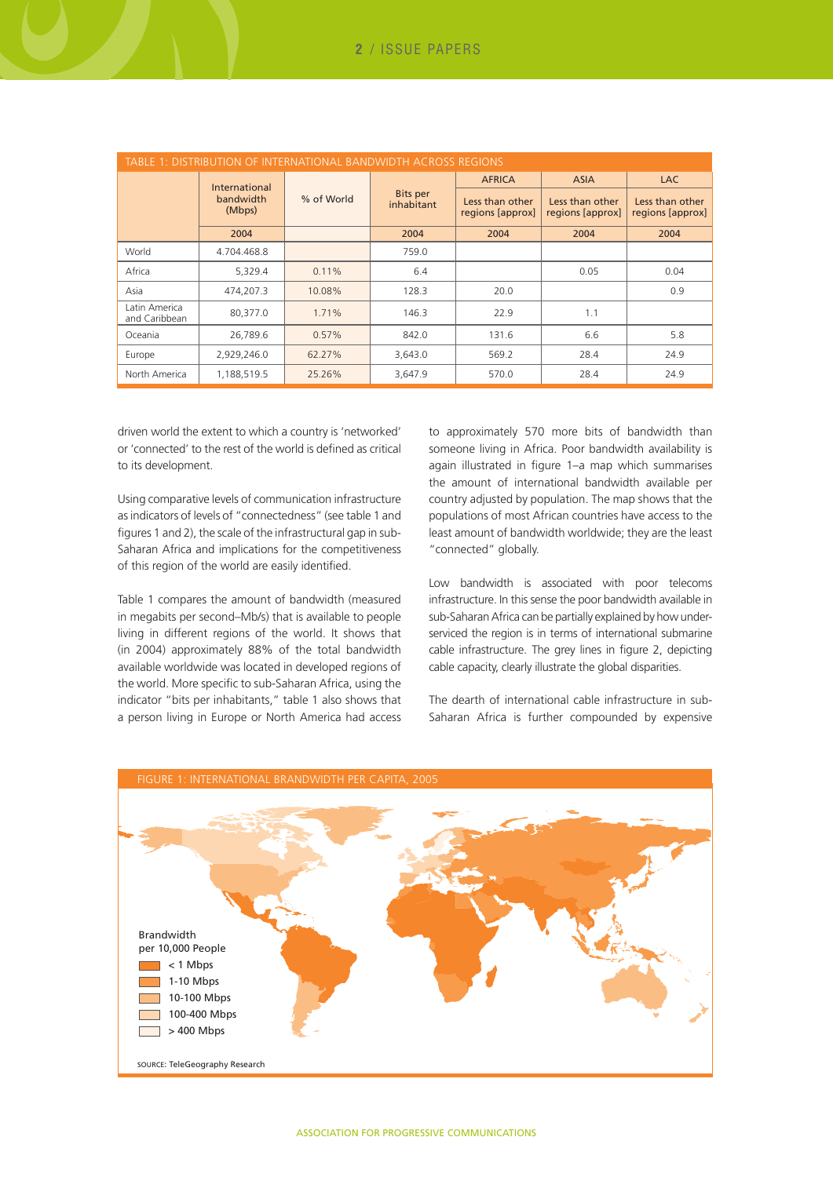| TABLE 1: DISTRIBUTION OF INTERNATIONAL BANDWIDTH ACROSS REGIONS |                     |            |                               |                                     |                                     |                                     |  |  |
|-----------------------------------------------------------------|---------------------|------------|-------------------------------|-------------------------------------|-------------------------------------|-------------------------------------|--|--|
|                                                                 | International       |            |                               | <b>AFRICA</b>                       | <b>ASIA</b>                         | <b>LAC</b>                          |  |  |
|                                                                 | bandwidth<br>(Mbps) | % of World | <b>Bits per</b><br>inhabitant | Less than other<br>regions [approx] | Less than other<br>regions [approx] | Less than other<br>regions [approx] |  |  |
|                                                                 | 2004                |            | 2004                          | 2004                                | 2004                                | 2004                                |  |  |
| World                                                           | 4.704.468.8         |            | 759.0                         |                                     |                                     |                                     |  |  |
| Africa                                                          | 5,329.4             | 0.11%      | 6.4                           |                                     | 0.05                                | 0.04                                |  |  |
| Asia                                                            | 474,207.3           | 10.08%     | 128.3                         | 20.0                                |                                     | 0.9                                 |  |  |
| Latin America<br>and Caribbean                                  | 80,377.0            | 1.71%      | 146.3                         | 22.9                                | 1.1                                 |                                     |  |  |
| Oceania                                                         | 26,789.6            | 0.57%      | 842.0                         | 131.6                               | 6.6                                 | 5.8                                 |  |  |
| Europe                                                          | 2,929,246.0         | 62.27%     | 3,643.0                       | 569.2                               | 28.4                                | 24.9                                |  |  |
| North America                                                   | 1,188,519.5         | 25.26%     | 3,647.9                       | 570.0                               | 28.4                                | 24.9                                |  |  |

driven world the extent to which a country is 'networked' or 'connected' to the rest of the world is defined as critical to its development.

Using comparative levels of communication infrastructure as indicators of levels of "connectedness" (see table 1 and figures 1 and 2), the scale of the infrastructural gap in sub-Saharan Africa and implications for the competitiveness of this region of the world are easily identified.

Table 1 compares the amount of bandwidth (measured in megabits per second–Mb/s) that is available to people living in different regions of the world. It shows that (in 2004) approximately 88% of the total bandwidth available worldwide was located in developed regions of the world. More specific to sub-Saharan Africa, using the indicator "bits per inhabitants," table 1 also shows that a person living in Europe or North America had access

to approximately 570 more bits of bandwidth than someone living in Africa. Poor bandwidth availability is again illustrated in figure 1–a map which summarises the amount of international bandwidth available per country adjusted by population. The map shows that the populations of most African countries have access to the least amount of bandwidth worldwide; they are the least "connected" globally.

Low bandwidth is associated with poor telecoms infrastructure. In this sense the poor bandwidth available in sub-Saharan Africa can be partially explained by how underserviced the region is in terms of international submarine cable infrastructure. The grey lines in figure 2, depicting cable capacity, clearly illustrate the global disparities.

The dearth of international cable infrastructure in sub-Saharan Africa is further compounded by expensive

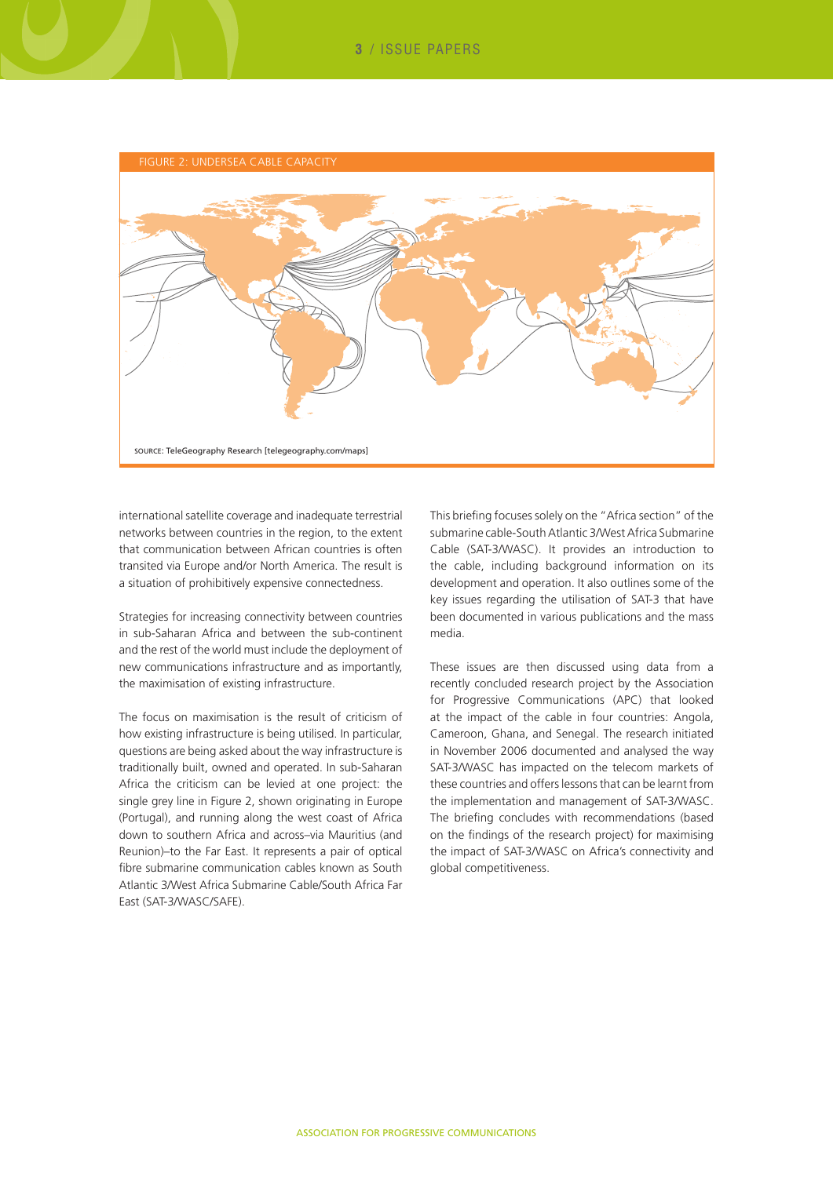

international satellite coverage and inadequate terrestrial networks between countries in the region, to the extent that communication between African countries is often transited via Europe and/or North America. The result is a situation of prohibitively expensive connectedness.

Strategies for increasing connectivity between countries in sub-Saharan Africa and between the sub-continent and the rest of the world must include the deployment of new communications infrastructure and as importantly, the maximisation of existing infrastructure.

The focus on maximisation is the result of criticism of how existing infrastructure is being utilised. In particular, questions are being asked about the way infrastructure is traditionally built, owned and operated. In sub-Saharan Africa the criticism can be levied at one project: the single grey line in Figure 2, shown originating in Europe (Portugal), and running along the west coast of Africa down to southern Africa and across–via Mauritius (and Reunion)–to the Far East. It represents a pair of optical fibre submarine communication cables known as South Atlantic 3/West Africa Submarine Cable/South Africa Far East (SAT-3/WASC/SAFE).

This briefing focuses solely on the "Africa section" of the submarine cable-South Atlantic 3/West Africa Submarine Cable (SAT-3/WASC). It provides an introduction to the cable, including background information on its development and operation. It also outlines some of the key issues regarding the utilisation of SAT-3 that have been documented in various publications and the mass media.

These issues are then discussed using data from a recently concluded research project by the Association for Progressive Communications (APC) that looked at the impact of the cable in four countries: Angola, Cameroon, Ghana, and Senegal. The research initiated in November 2006 documented and analysed the way SAT-3/WASC has impacted on the telecom markets of these countries and offers lessons that can be learnt from the implementation and management of SAT-3/WASC. The briefing concludes with recommendations (based on the findings of the research project) for maximising the impact of SAT-3/WASC on Africa's connectivity and global competitiveness.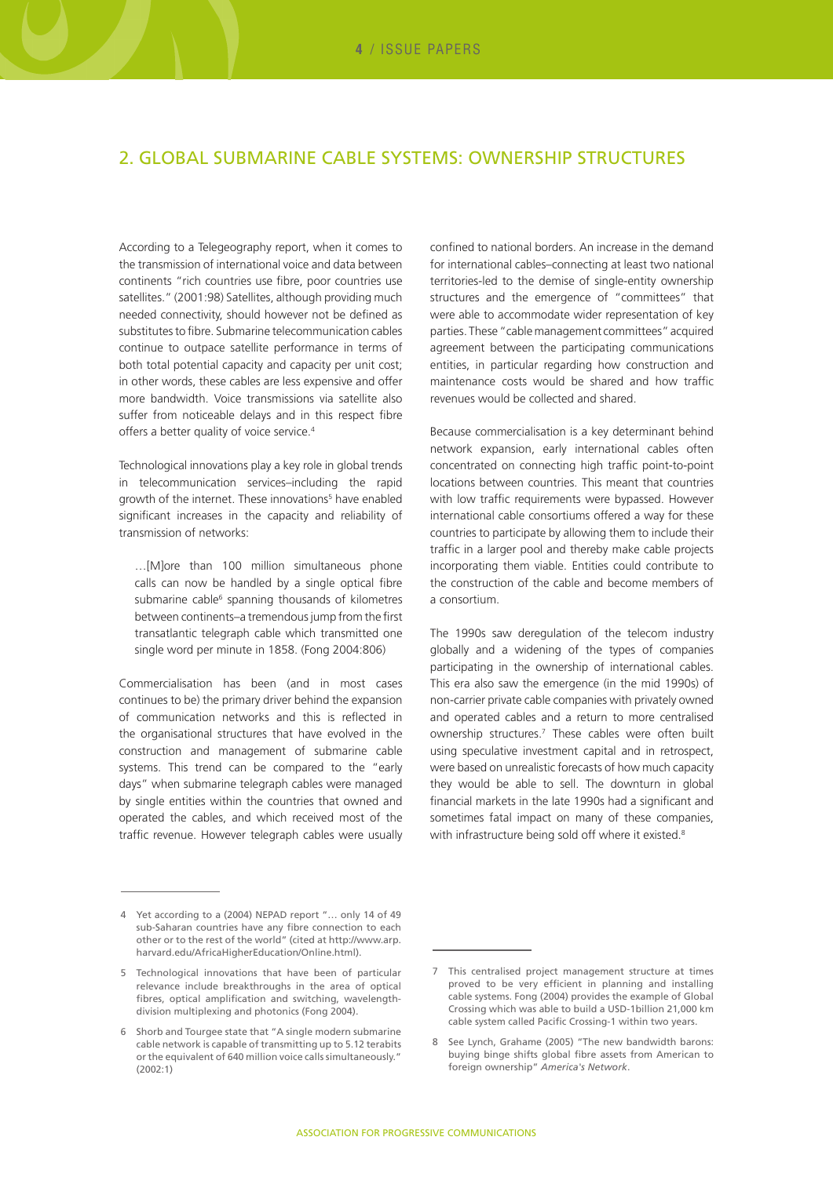## 2. Global submarine cable systems: ownership structures

According to a Telegeography report, when it comes to the transmission of international voice and data between continents "rich countries use fibre, poor countries use satellites." (2001:98) Satellites, although providing much needed connectivity, should however not be defined as substitutes to fibre. Submarine telecommunication cables continue to outpace satellite performance in terms of both total potential capacity and capacity per unit cost; in other words, these cables are less expensive and offer more bandwidth. Voice transmissions via satellite also suffer from noticeable delays and in this respect fibre offers a better quality of voice service.<sup>4</sup>

Technological innovations play a key role in global trends in telecommunication services–including the rapid growth of the internet. These innovations<sup>5</sup> have enabled significant increases in the capacity and reliability of transmission of networks:

…[M]ore than 100 million simultaneous phone calls can now be handled by a single optical fibre submarine cable<sup>6</sup> spanning thousands of kilometres between continents–a tremendous jump from the first transatlantic telegraph cable which transmitted one single word per minute in 1858. (Fong 2004:806)

Commercialisation has been (and in most cases continues to be) the primary driver behind the expansion of communication networks and this is reflected in the organisational structures that have evolved in the construction and management of submarine cable systems. This trend can be compared to the "early days" when submarine telegraph cables were managed by single entities within the countries that owned and operated the cables, and which received most of the traffic revenue. However telegraph cables were usually

confined to national borders. An increase in the demand for international cables–connecting at least two national territories-led to the demise of single-entity ownership structures and the emergence of "committees" that were able to accommodate wider representation of key parties. These "cable management committees" acquired agreement between the participating communications entities, in particular regarding how construction and maintenance costs would be shared and how traffic revenues would be collected and shared.

Because commercialisation is a key determinant behind network expansion, early international cables often concentrated on connecting high traffic point-to-point locations between countries. This meant that countries with low traffic requirements were bypassed. However international cable consortiums offered a way for these countries to participate by allowing them to include their traffic in a larger pool and thereby make cable projects incorporating them viable. Entities could contribute to the construction of the cable and become members of a consortium.

The 1990s saw deregulation of the telecom industry globally and a widening of the types of companies participating in the ownership of international cables. This era also saw the emergence (in the mid 1990s) of non-carrier private cable companies with privately owned and operated cables and a return to more centralised ownership structures.7 These cables were often built using speculative investment capital and in retrospect, were based on unrealistic forecasts of how much capacity they would be able to sell. The downturn in global financial markets in the late 1990s had a significant and sometimes fatal impact on many of these companies, with infrastructure being sold off where it existed.<sup>8</sup>

<sup>4</sup> Yet according to a (2004) NEPAD report "… only 14 of 49 sub-Saharan countries have any fibre connection to each other or to the rest of the world" (cited at http://www.arp. harvard.edu/AfricaHigherEducation/Online.html).

<sup>5</sup> Technological innovations that have been of particular relevance include breakthroughs in the area of optical fibres, optical amplification and switching, wavelengthdivision multiplexing and photonics (Fong 2004).

<sup>6</sup> Shorb and Tourgee state that "A single modern submarine cable network is capable of transmitting up to 5.12 terabits or the equivalent of 640 million voice calls simultaneously." (2002:1)

<sup>7</sup> This centralised project management structure at times proved to be very efficient in planning and installing cable systems. Fong (2004) provides the example of Global Crossing which was able to build a USD-1billion 21,000 km cable system called Pacific Crossing-1 within two years.

<sup>8</sup> See Lynch, Grahame (2005) "The new bandwidth barons: buying binge shifts global fibre assets from American to foreign ownership" *America's Network*.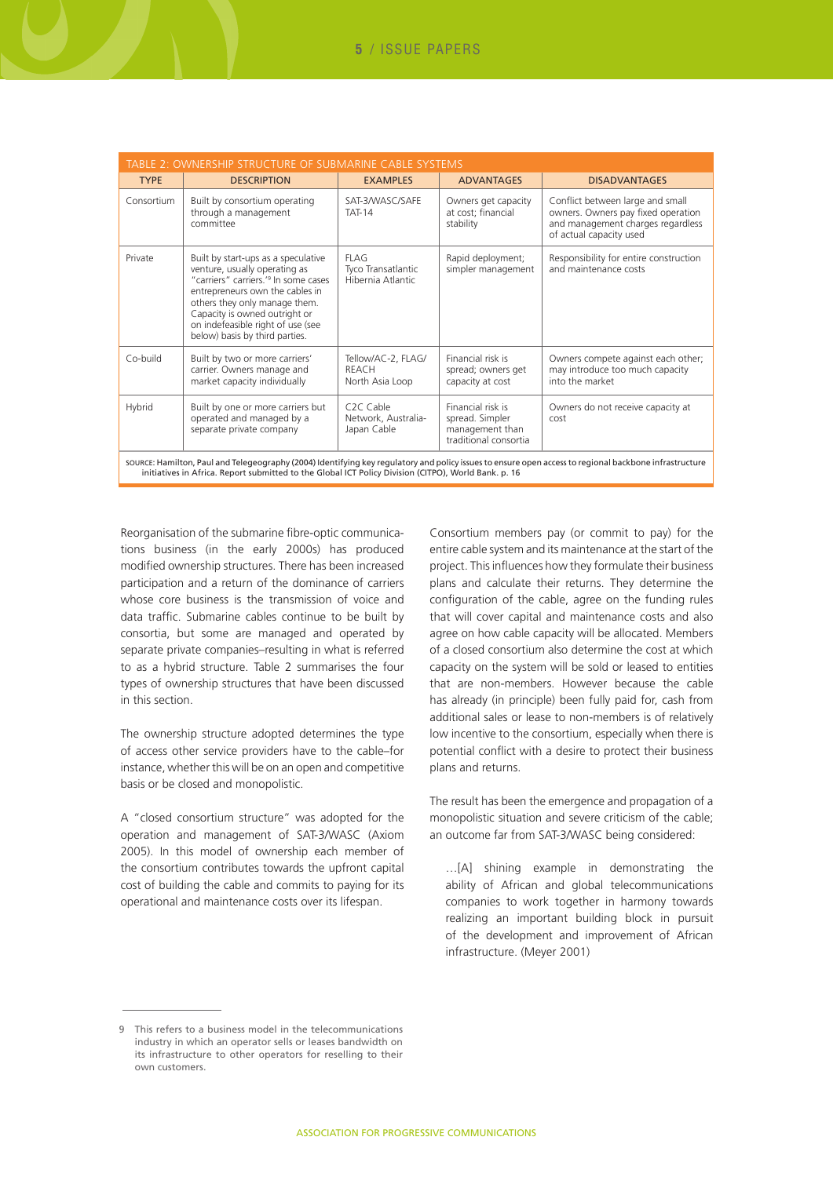| TABLE 2: OWNERSHIP STRUCTURE OF SUBMARINE CABLE SYSTEMS                                                                                                                                                                                                        |                                                                                                                                                                                                                                                                                                      |                                                              |                                                                                  |                                                                                                                                        |  |  |  |  |  |
|----------------------------------------------------------------------------------------------------------------------------------------------------------------------------------------------------------------------------------------------------------------|------------------------------------------------------------------------------------------------------------------------------------------------------------------------------------------------------------------------------------------------------------------------------------------------------|--------------------------------------------------------------|----------------------------------------------------------------------------------|----------------------------------------------------------------------------------------------------------------------------------------|--|--|--|--|--|
| <b>TYPE</b>                                                                                                                                                                                                                                                    | <b>DESCRIPTION</b>                                                                                                                                                                                                                                                                                   | <b>EXAMPLES</b>                                              | <b>ADVANTAGES</b>                                                                | <b>DISADVANTAGES</b>                                                                                                                   |  |  |  |  |  |
| Consortium                                                                                                                                                                                                                                                     | Built by consortium operating<br>through a management<br>committee                                                                                                                                                                                                                                   | SAT-3/WASC/SAFE<br><b>TAT-14</b>                             | Owners get capacity<br>at cost; financial<br>stability                           | Conflict between large and small<br>owners. Owners pay fixed operation<br>and management charges regardless<br>of actual capacity used |  |  |  |  |  |
| Private                                                                                                                                                                                                                                                        | Built by start-ups as a speculative<br>venture, usually operating as<br>"carriers" carriers. <sup>'9</sup> In some cases<br>entrepreneurs own the cables in<br>others they only manage them.<br>Capacity is owned outright or<br>on indefeasible right of use (see<br>below) basis by third parties. | <b>FLAG</b><br>Tyco Transatlantic<br>Hibernia Atlantic       | Rapid deployment;<br>simpler management                                          | Responsibility for entire construction<br>and maintenance costs                                                                        |  |  |  |  |  |
| Co-build                                                                                                                                                                                                                                                       | Built by two or more carriers'<br>carrier. Owners manage and<br>market capacity individually                                                                                                                                                                                                         | Tellow/AC-2, FLAG/<br><b>REACH</b><br>North Asia Loop        | Financial risk is<br>spread; owners get<br>capacity at cost                      | Owners compete against each other;<br>may introduce too much capacity<br>into the market                                               |  |  |  |  |  |
| Hybrid                                                                                                                                                                                                                                                         | Built by one or more carriers but<br>operated and managed by a<br>separate private company                                                                                                                                                                                                           | C <sub>2</sub> C Cable<br>Network, Australia-<br>Japan Cable | Financial risk is<br>spread. Simpler<br>management than<br>traditional consortia | Owners do not receive capacity at<br>cost                                                                                              |  |  |  |  |  |
| SOURCE: Hamilton, Paul and Telegeography (2004) Identifying key regulatory and policy issues to ensure open access to regional backbone infrastructure<br>initiatives in Africa. Report submitted to the Global ICT Policy Division (CITPO), World Bank. p. 16 |                                                                                                                                                                                                                                                                                                      |                                                              |                                                                                  |                                                                                                                                        |  |  |  |  |  |

Reorganisation of the submarine fibre-optic communications business (in the early 2000s) has produced modified ownership structures. There has been increased participation and a return of the dominance of carriers whose core business is the transmission of voice and data traffic. Submarine cables continue to be built by consortia, but some are managed and operated by separate private companies–resulting in what is referred to as a hybrid structure. Table 2 summarises the four types of ownership structures that have been discussed in this section.

The ownership structure adopted determines the type of access other service providers have to the cable–for instance, whether this will be on an open and competitive basis or be closed and monopolistic.

A "closed consortium structure" was adopted for the operation and management of SAT-3/WASC (Axiom 2005). In this model of ownership each member of the consortium contributes towards the upfront capital cost of building the cable and commits to paying for its operational and maintenance costs over its lifespan.

Consortium members pay (or commit to pay) for the entire cable system and its maintenance at the start of the project. This influences how they formulate their business plans and calculate their returns. They determine the configuration of the cable, agree on the funding rules that will cover capital and maintenance costs and also agree on how cable capacity will be allocated. Members of a closed consortium also determine the cost at which capacity on the system will be sold or leased to entities that are non-members. However because the cable has already (in principle) been fully paid for, cash from additional sales or lease to non-members is of relatively low incentive to the consortium, especially when there is potential conflict with a desire to protect their business plans and returns.

The result has been the emergence and propagation of a monopolistic situation and severe criticism of the cable; an outcome far from SAT-3/WASC being considered:

…[A] shining example in demonstrating the ability of African and global telecommunications companies to work together in harmony towards realizing an important building block in pursuit of the development and improvement of African infrastructure. (Meyer 2001)

<sup>9</sup> This refers to a business model in the telecommunications industry in which an operator sells or leases bandwidth on its infrastructure to other operators for reselling to their own customers.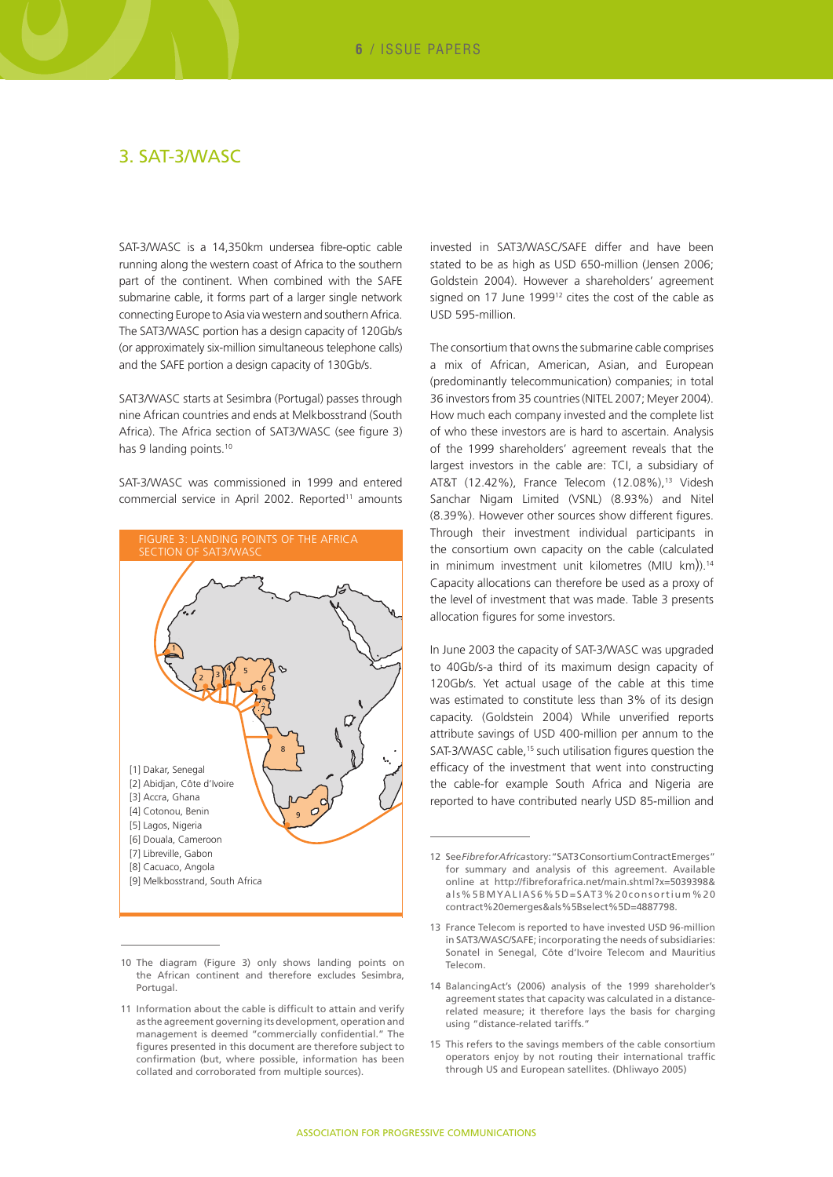## 3. SAT-3/WASC

SAT-3/WASC is a 14,350km undersea fibre-optic cable running along the western coast of Africa to the southern part of the continent. When combined with the SAFE submarine cable, it forms part of a larger single network connecting Europe to Asia via western and southern Africa. The SAT3/WASC portion has a design capacity of 120Gb/s (or approximately six-million simultaneous telephone calls) and the SAFE portion a design capacity of 130Gb/s.

SAT3/WASC starts at Sesimbra (Portugal) passes through nine African countries and ends at Melkbosstrand (South Africa). The Africa section of SAT3/WASC (see figure 3) has 9 landing points.<sup>10</sup>

SAT-3/WASC was commissioned in 1999 and entered commercial service in April 2002. Reported<sup>11</sup> amounts



<sup>10</sup> The diagram (Figure 3) only shows landing points on the African continent and therefore excludes Sesimbra, Portugal.

invested in SAT3/WASC/SAFE differ and have been stated to be as high as USD 650-million (Jensen 2006; Goldstein 2004). However a shareholders' agreement signed on 17 June 1999<sup>12</sup> cites the cost of the cable as USD 595-million.

The consortium that owns the submarine cable comprises a mix of African, American, Asian, and European (predominantly telecommunication) companies; in total 36 investors from 35 countries (NITEL 2007; Meyer 2004). How much each company invested and the complete list of who these investors are is hard to ascertain. Analysis of the 1999 shareholders' agreement reveals that the largest investors in the cable are: TCI, a subsidiary of AT&T (12.42%), France Telecom (12.08%),<sup>13</sup> Videsh Sanchar Nigam Limited (VSNL) (8.93%) and Nitel (8.39%). However other sources show different figures. Through their investment individual participants in the consortium own capacity on the cable (calculated in minimum investment unit kilometres (MIU km)).<sup>14</sup> Capacity allocations can therefore be used as a proxy of the level of investment that was made. Table 3 presents allocation figures for some investors.

In June 2003 the capacity of SAT-3/WASC was upgraded to 40Gb/s-a third of its maximum design capacity of 120Gb/s. Yet actual usage of the cable at this time was estimated to constitute less than 3% of its design capacity. (Goldstein 2004) While unverified reports attribute savings of USD 400-million per annum to the SAT-3/WASC cable,<sup>15</sup> such utilisation figures question the efficacy of the investment that went into constructing the cable-for example South Africa and Nigeria are reported to have contributed nearly USD 85-million and

<sup>11</sup> Information about the cable is difficult to attain and verify as the agreement governing its development, operation and management is deemed "commercially confidential." The figures presented in this document are therefore subject to confirmation (but, where possible, information has been collated and corroborated from multiple sources).

<sup>12</sup> See *Fibre for Africa* story: "SAT3 Consortium Contract Emerges" for summary and analysis of this agreement. Available online at http://fibreforafrica.net/main.shtml?x=5039398& als%5BMYALIAS6%5D=SAT3%20consortium%20 contract%20emerges&als%5Bselect%5D=4887798.

<sup>13</sup> France Telecom is reported to have invested USD 96-million in SAT3/WASC/SAFE; incorporating the needs of subsidiaries: Sonatel in Senegal, Côte d'Ivoire Telecom and Mauritius Telecom.

<sup>14</sup> BalancingAct's (2006) analysis of the 1999 shareholder's agreement states that capacity was calculated in a distancerelated measure; it therefore lays the basis for charging using "distance-related tariffs."

<sup>15</sup> This refers to the savings members of the cable consortium operators enjoy by not routing their international traffic through US and European satellites. (Dhliwayo 2005)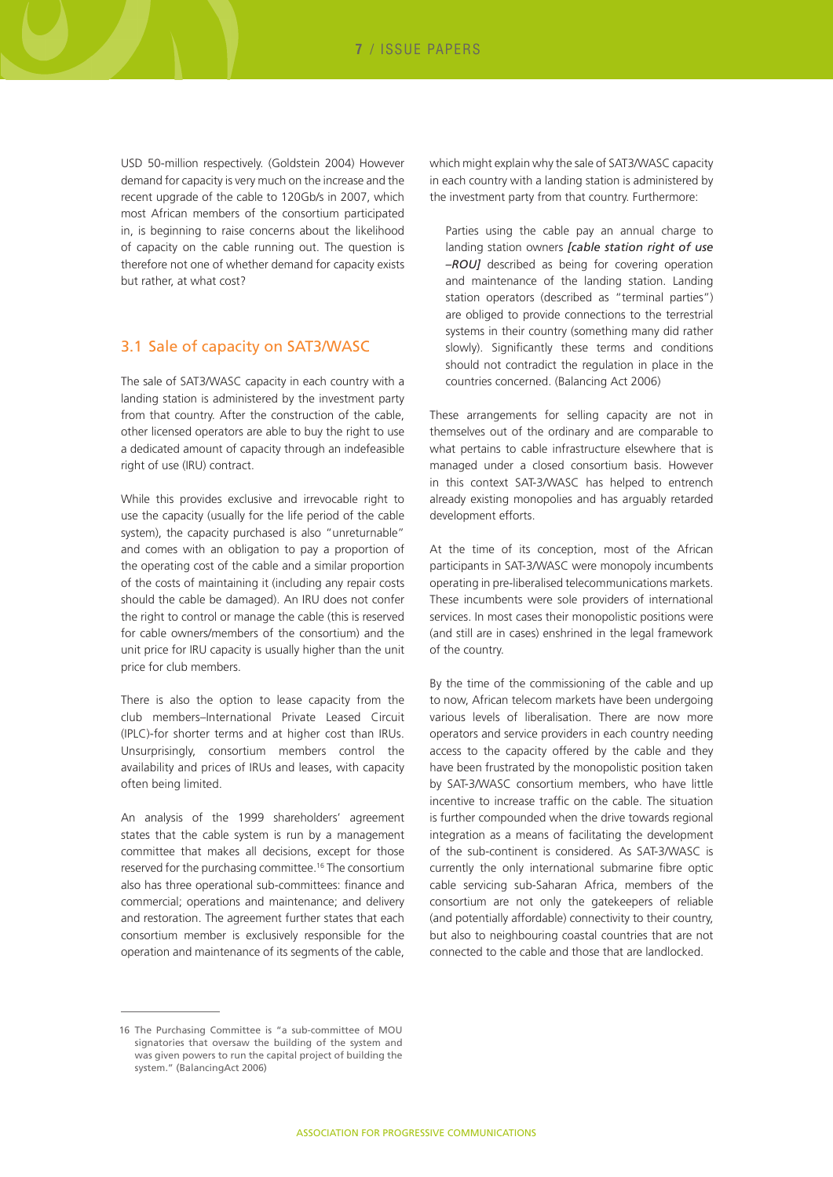USD 50-million respectively. (Goldstein 2004) However demand for capacity is very much on the increase and the recent upgrade of the cable to 120Gb/s in 2007, which most African members of the consortium participated in, is beginning to raise concerns about the likelihood of capacity on the cable running out. The question is therefore not one of whether demand for capacity exists but rather, at what cost?

#### 3.1 Sale of capacity on SAT3/WASC

The sale of SAT3/WASC capacity in each country with a landing station is administered by the investment party from that country. After the construction of the cable, other licensed operators are able to buy the right to use a dedicated amount of capacity through an indefeasible right of use (IRU) contract.

While this provides exclusive and irrevocable right to use the capacity (usually for the life period of the cable system), the capacity purchased is also "unreturnable" and comes with an obligation to pay a proportion of the operating cost of the cable and a similar proportion of the costs of maintaining it (including any repair costs should the cable be damaged). An IRU does not confer the right to control or manage the cable (this is reserved for cable owners/members of the consortium) and the unit price for IRU capacity is usually higher than the unit price for club members.

There is also the option to lease capacity from the club members–International Private Leased Circuit (IPLC)-for shorter terms and at higher cost than IRUs. Unsurprisingly, consortium members control the availability and prices of IRUs and leases, with capacity often being limited.

An analysis of the 1999 shareholders' agreement states that the cable system is run by a management committee that makes all decisions, except for those reserved for the purchasing committee.16 The consortium also has three operational sub-committees: finance and commercial; operations and maintenance; and delivery and restoration. The agreement further states that each consortium member is exclusively responsible for the operation and maintenance of its segments of the cable,

which might explain why the sale of SAT3/WASC capacity in each country with a landing station is administered by the investment party from that country. Furthermore:

Parties using the cable pay an annual charge to landing station owners *[cable station right of use –ROU]* described as being for covering operation and maintenance of the landing station. Landing station operators (described as "terminal parties") are obliged to provide connections to the terrestrial systems in their country (something many did rather slowly). Significantly these terms and conditions should not contradict the regulation in place in the countries concerned. (Balancing Act 2006)

These arrangements for selling capacity are not in themselves out of the ordinary and are comparable to what pertains to cable infrastructure elsewhere that is managed under a closed consortium basis. However in this context SAT-3/WASC has helped to entrench already existing monopolies and has arguably retarded development efforts.

At the time of its conception, most of the African participants in SAT-3/WASC were monopoly incumbents operating in pre-liberalised telecommunications markets. These incumbents were sole providers of international services. In most cases their monopolistic positions were (and still are in cases) enshrined in the legal framework of the country.

By the time of the commissioning of the cable and up to now, African telecom markets have been undergoing various levels of liberalisation. There are now more operators and service providers in each country needing access to the capacity offered by the cable and they have been frustrated by the monopolistic position taken by SAT-3/WASC consortium members, who have little incentive to increase traffic on the cable. The situation is further compounded when the drive towards regional integration as a means of facilitating the development of the sub-continent is considered. As SAT-3/WASC is currently the only international submarine fibre optic cable servicing sub-Saharan Africa, members of the consortium are not only the gatekeepers of reliable (and potentially affordable) connectivity to their country, but also to neighbouring coastal countries that are not connected to the cable and those that are landlocked.

<sup>16</sup> The Purchasing Committee is "a sub-committee of MOU signatories that oversaw the building of the system and was given powers to run the capital project of building the system." (BalancingAct 2006)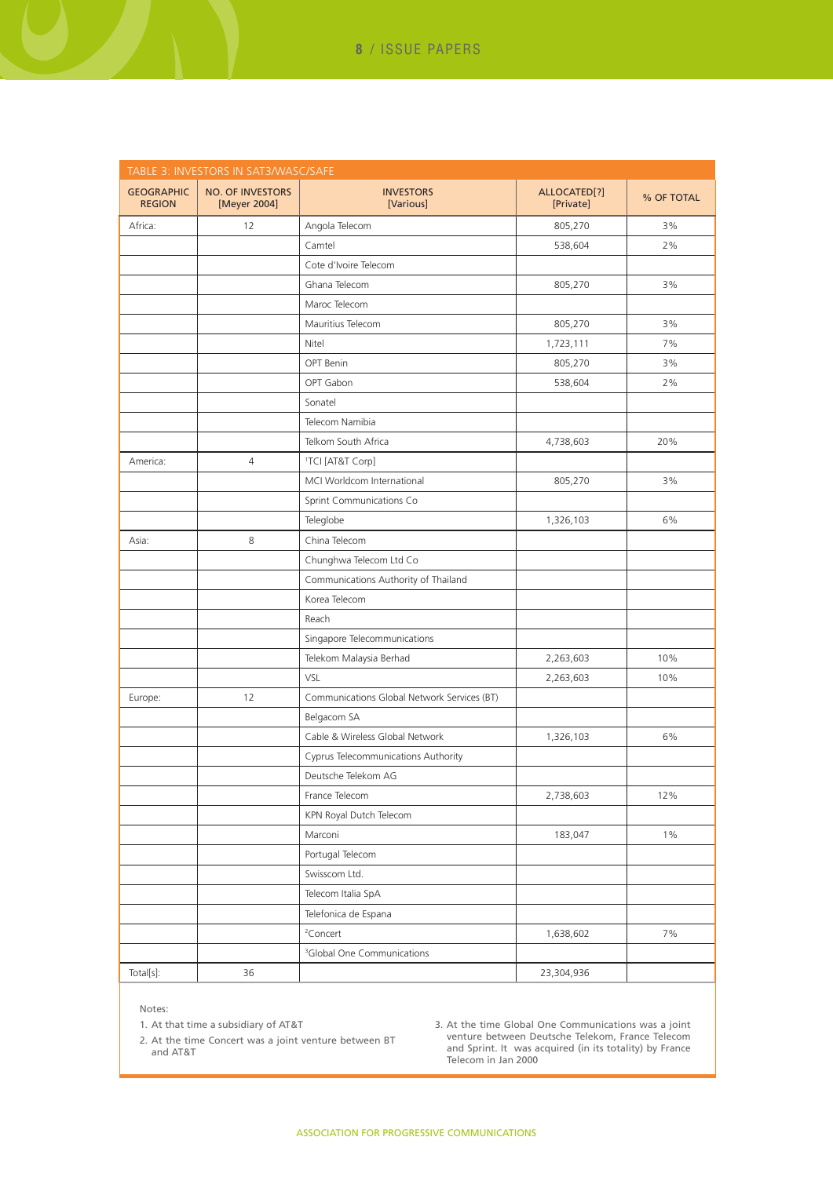| TABLE 3: INVESTORS IN SAT3/WASC/SAFE |                                         |                                             |                           |            |  |  |  |  |
|--------------------------------------|-----------------------------------------|---------------------------------------------|---------------------------|------------|--|--|--|--|
| <b>GEOGRAPHIC</b><br><b>REGION</b>   | <b>NO. OF INVESTORS</b><br>[Meyer 2004] | <b>INVESTORS</b><br>[Various]               | ALLOCATED[?]<br>[Private] | % OF TOTAL |  |  |  |  |
| Africa:                              | 12                                      | Angola Telecom                              | 805,270                   | 3%         |  |  |  |  |
|                                      |                                         | Camtel                                      | 538,604                   | 2%         |  |  |  |  |
|                                      |                                         | Cote d'Ivoire Telecom                       |                           |            |  |  |  |  |
|                                      |                                         | Ghana Telecom                               | 805,270                   | 3%         |  |  |  |  |
|                                      |                                         | Maroc Telecom                               |                           |            |  |  |  |  |
|                                      |                                         | Mauritius Telecom                           | 805,270                   | 3%         |  |  |  |  |
|                                      |                                         | Nitel                                       | 1,723,111                 | 7%         |  |  |  |  |
|                                      |                                         | OPT Benin                                   | 805,270                   | 3%         |  |  |  |  |
|                                      |                                         | OPT Gabon                                   | 538,604                   | 2%         |  |  |  |  |
|                                      |                                         | Sonatel                                     |                           |            |  |  |  |  |
|                                      |                                         | Telecom Namibia                             |                           |            |  |  |  |  |
|                                      |                                         | Telkom South Africa                         | 4,738,603                 | 20%        |  |  |  |  |
| America:                             | $\overline{4}$                          | <sup>1</sup> TCI [AT&T Corp]                |                           |            |  |  |  |  |
|                                      |                                         | MCI Worldcom International                  | 805,270                   | 3%         |  |  |  |  |
|                                      |                                         | Sprint Communications Co                    |                           |            |  |  |  |  |
|                                      |                                         | Teleglobe                                   | 1,326,103                 | 6%         |  |  |  |  |
| Asia:                                | 8                                       | China Telecom                               |                           |            |  |  |  |  |
|                                      |                                         | Chunghwa Telecom Ltd Co                     |                           |            |  |  |  |  |
|                                      |                                         | Communications Authority of Thailand        |                           |            |  |  |  |  |
|                                      |                                         | Korea Telecom                               |                           |            |  |  |  |  |
|                                      |                                         | Reach                                       |                           |            |  |  |  |  |
|                                      |                                         | Singapore Telecommunications                |                           |            |  |  |  |  |
|                                      |                                         | Telekom Malaysia Berhad                     | 2,263,603                 | 10%        |  |  |  |  |
|                                      |                                         | VSL                                         | 2,263,603                 | 10%        |  |  |  |  |
| Europe:                              | 12                                      | Communications Global Network Services (BT) |                           |            |  |  |  |  |
|                                      |                                         | Belgacom SA                                 |                           |            |  |  |  |  |
|                                      |                                         | Cable & Wireless Global Network             | 1,326,103                 | 6%         |  |  |  |  |
|                                      |                                         | Cyprus Telecommunications Authority         |                           |            |  |  |  |  |
|                                      |                                         | Deutsche Telekom AG                         |                           |            |  |  |  |  |
|                                      |                                         | France Telecom                              | 2,738,603                 | 12%        |  |  |  |  |
|                                      |                                         | KPN Royal Dutch Telecom                     |                           |            |  |  |  |  |
|                                      |                                         | Marconi                                     | 183,047                   | $1\%$      |  |  |  |  |
|                                      |                                         | Portugal Telecom                            |                           |            |  |  |  |  |
|                                      |                                         | Swisscom Ltd.                               |                           |            |  |  |  |  |
|                                      |                                         | Telecom Italia SpA                          |                           |            |  |  |  |  |
|                                      |                                         | Telefonica de Espana                        |                           |            |  |  |  |  |
|                                      |                                         | <sup>2</sup> Concert                        | 1,638,602                 | 7%         |  |  |  |  |
|                                      |                                         | <sup>3</sup> Global One Communications      |                           |            |  |  |  |  |
| Total[s]:                            | 36                                      |                                             | 23,304,936                |            |  |  |  |  |
|                                      |                                         |                                             |                           |            |  |  |  |  |

Notes:

1. At that time a subsidiary of AT&T

2. At the time Concert was a joint venture between BT and AT&T

3. At the time Global One Communications was a joint venture between Deutsche Telekom, France Telecom and Sprint. It was acquired (in its totality) by France Telecom in Jan 2000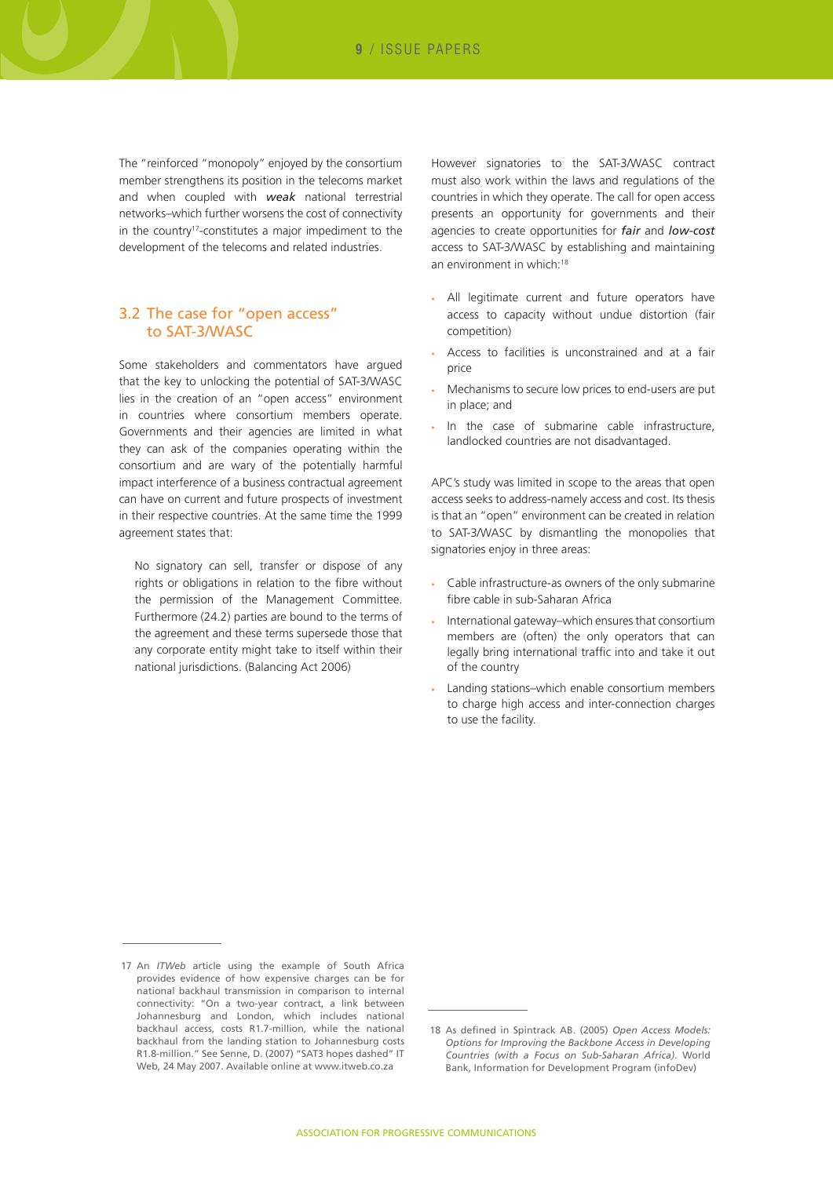The "reinforced "monopoly" enjoyed by the consortium member strengthens its position in the telecoms market and when coupled with *weak* national terrestrial networks–which further worsens the cost of connectivity in the country<sup>17</sup>-constitutes a major impediment to the development of the telecoms and related industries.

#### 3.2 The case for "open access" to SAT-3/WASC

Some stakeholders and commentators have argued that the key to unlocking the potential of SAT-3/WASC lies in the creation of an "open access" environment in countries where consortium members operate. Governments and their agencies are limited in what they can ask of the companies operating within the consortium and are wary of the potentially harmful impact interference of a business contractual agreement can have on current and future prospects of investment in their respective countries. At the same time the 1999 agreement states that:

No signatory can sell, transfer or dispose of any rights or obligations in relation to the fibre without the permission of the Management Committee. Furthermore (24.2) parties are bound to the terms of the agreement and these terms supersede those that any corporate entity might take to itself within their national jurisdictions. (Balancing Act 2006)

However signatories to the SAT-3/WASC contract must also work within the laws and regulations of the countries in which they operate. The call for open access presents an opportunity for governments and their agencies to create opportunities for *fair* and *low-cost* access to SAT-3/WASC by establishing and maintaining an environment in which:<sup>18</sup>

- All legitimate current and future operators have access to capacity without undue distortion (fair competition)
- Access to facilities is unconstrained and at a fair price
- Mechanisms to secure low prices to end-users are put in place; and
- In the case of submarine cable infrastructure, landlocked countries are not disadvantaged.

APC's study was limited in scope to the areas that open access seeks to address-namely access and cost. Its thesis is that an "open" environment can be created in relation to SAT-3/WASC by dismantling the monopolies that signatories enjoy in three areas:

- • Cable infrastructure-as owners of the only submarine fibre cable in sub-Saharan Africa
- International gateway-which ensures that consortium members are (often) the only operators that can legally bring international traffic into and take it out of the country
- Landing stations-which enable consortium members to charge high access and inter-connection charges to use the facility.

<sup>17</sup> An *ITWeb* article using the example of South Africa provides evidence of how expensive charges can be for national backhaul transmission in comparison to internal connectivity: "On a two-year contract, a link between Johannesburg and London, which includes national backhaul access, costs R1.7-million, while the national backhaul from the landing station to Johannesburg costs R1.8-million." See Senne, D. (2007) "SAT3 hopes dashed" IT Web, 24 May 2007. Available online at www.itweb.co.za

<sup>18</sup> As defined in Spintrack AB. (2005) *Open Access Models: Options for Improving the Backbone Access in Developing Countries (with a Focus on Sub-Saharan Africa)*. World Bank, Information for Development Program (infoDev)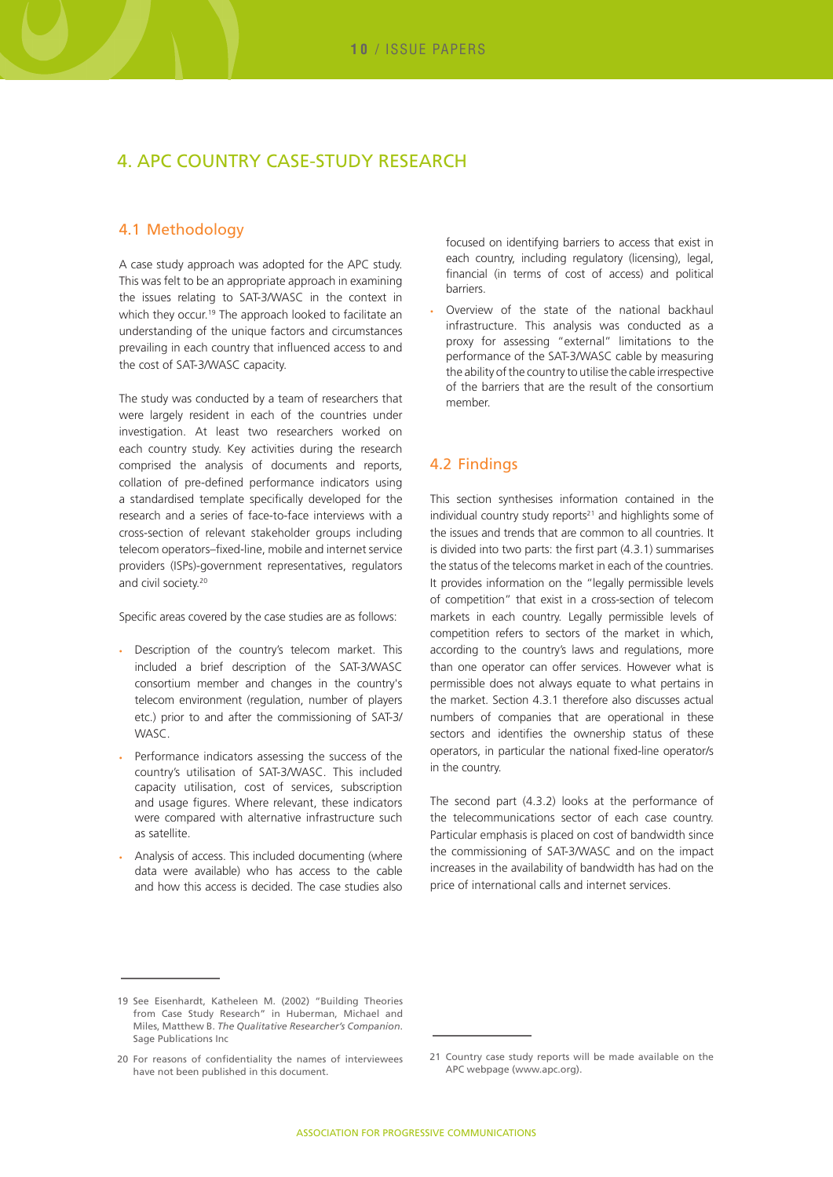## 4. APC country case-study research

#### 4.1 Methodology

A case study approach was adopted for the APC study. This was felt to be an appropriate approach in examining the issues relating to SAT-3/WASC in the context in which they occur.<sup>19</sup> The approach looked to facilitate an understanding of the unique factors and circumstances prevailing in each country that influenced access to and the cost of SAT-3/WASC capacity.

The study was conducted by a team of researchers that were largely resident in each of the countries under investigation. At least two researchers worked on each country study. Key activities during the research comprised the analysis of documents and reports, collation of pre-defined performance indicators using a standardised template specifically developed for the research and a series of face-to-face interviews with a cross-section of relevant stakeholder groups including telecom operators–fixed-line, mobile and internet service providers (ISPs)-government representatives, regulators and civil society.<sup>20</sup>

Specific areas covered by the case studies are as follows:

- • Description of the country's telecom market. This included a brief description of the SAT-3/WASC consortium member and changes in the country's telecom environment (regulation, number of players etc.) prior to and after the commissioning of SAT-3/ WASC.
- Performance indicators assessing the success of the country's utilisation of SAT-3/WASC. This included capacity utilisation, cost of services, subscription and usage figures. Where relevant, these indicators were compared with alternative infrastructure such as satellite.
- Analysis of access. This included documenting (where data were available) who has access to the cable and how this access is decided. The case studies also

focused on identifying barriers to access that exist in each country, including regulatory (licensing), legal, financial (in terms of cost of access) and political barriers.

Overview of the state of the national backhaul infrastructure. This analysis was conducted as a proxy for assessing "external" limitations to the performance of the SAT-3/WASC cable by measuring the ability of the country to utilise the cable irrespective of the barriers that are the result of the consortium member.

#### 4.2 Findings

This section synthesises information contained in the individual country study reports<sup>21</sup> and highlights some of the issues and trends that are common to all countries. It is divided into two parts: the first part (4.3.1) summarises the status of the telecoms market in each of the countries. It provides information on the "legally permissible levels of competition" that exist in a cross-section of telecom markets in each country. Legally permissible levels of competition refers to sectors of the market in which, according to the country's laws and regulations, more than one operator can offer services. However what is permissible does not always equate to what pertains in the market. Section 4.3.1 therefore also discusses actual numbers of companies that are operational in these sectors and identifies the ownership status of these operators, in particular the national fixed-line operator/s in the country.

The second part (4.3.2) looks at the performance of the telecommunications sector of each case country. Particular emphasis is placed on cost of bandwidth since the commissioning of SAT-3/WASC and on the impact increases in the availability of bandwidth has had on the price of international calls and internet services.

<sup>19</sup> See Eisenhardt, Katheleen M. (2002) "Building Theories from Case Study Research" in Huberman, Michael and Miles, Matthew B. *The Qualitative Researcher's Companion*. Sage Publications Inc

<sup>20</sup> For reasons of confidentiality the names of interviewees have not been published in this document.

<sup>21</sup> Country case study reports will be made available on the APC webpage (www.apc.org).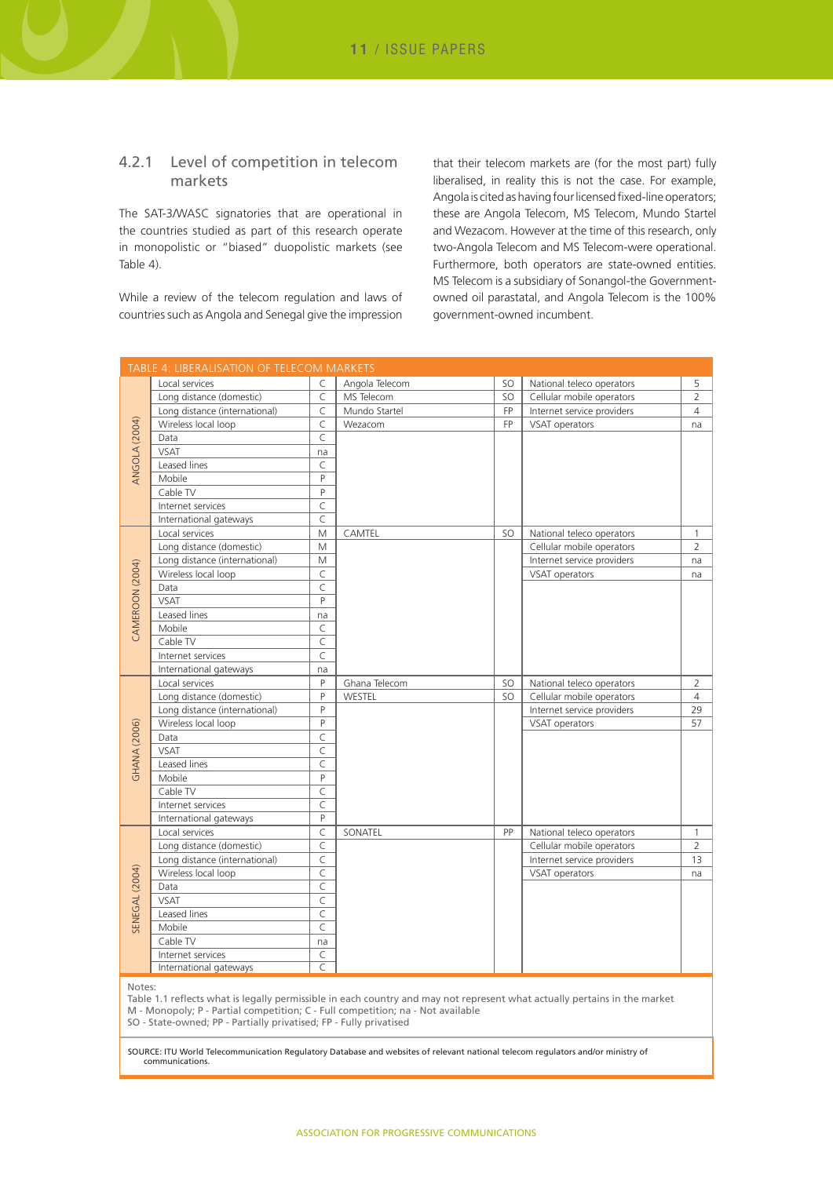#### 4.2.1 Level of competition in telecom markets

The SAT-3/WASC signatories that are operational in the countries studied as part of this research operate in monopolistic or "biased" duopolistic markets (see Table 4).

While a review of the telecom regulation and laws of countries such as Angola and Senegal give the impression that their telecom markets are (for the most part) fully liberalised, in reality this is not the case. For example, Angola is cited as having four licensed fixed-line operators; these are Angola Telecom, MS Telecom, Mundo Startel and Wezacom. However at the time of this research, only two-Angola Telecom and MS Telecom-were operational. Furthermore, both operators are state-owned entities. MS Telecom is a subsidiary of Sonangol-the Governmentowned oil parastatal, and Angola Telecom is the 100% government-owned incumbent.

|                       | TABLE 4: LIBERALISATION OF TELECOM MARKETS |              |                |           |                            |                |
|-----------------------|--------------------------------------------|--------------|----------------|-----------|----------------------------|----------------|
|                       | Local services                             | C            | Angola Telecom | SO.       | National teleco operators  | 5              |
|                       | Long distance (domestic)                   | C            | MS Telecom     | <b>SO</b> | Cellular mobile operators  | $\overline{2}$ |
|                       | Long distance (international)              | C            | Mundo Startel  | <b>FP</b> | Internet service providers | $\overline{4}$ |
|                       | Wireless local loop                        | C            | Wezacom        | <b>FP</b> | VSAT operators             | na             |
| ANGOLA (2004)         | Data                                       | C            |                |           |                            |                |
|                       | <b>VSAT</b>                                | na           |                |           |                            |                |
|                       | Leased lines                               | $\mathsf{C}$ |                |           |                            |                |
|                       | Mobile                                     | P            |                |           |                            |                |
|                       | Cable TV                                   | P            |                |           |                            |                |
|                       | Internet services                          | $\mathsf{C}$ |                |           |                            |                |
|                       | International gateways                     | C            |                |           |                            |                |
|                       | Local services                             | M            | CAMTEL         | SO.       | National teleco operators  | 1              |
|                       | Long distance (domestic)                   | M            |                |           | Cellular mobile operators  | $\overline{2}$ |
|                       | Long distance (international)              | M            |                |           | Internet service providers | na             |
| CAMEROON (2004)       | Wireless local loop                        | C            |                |           | VSAT operators             | na             |
|                       | Data                                       | C            |                |           |                            |                |
|                       | <b>VSAT</b>                                | P            |                |           |                            |                |
|                       | Leased lines                               | na           |                |           |                            |                |
|                       | Mobile                                     | C            |                |           |                            |                |
|                       | Cable TV                                   | C            |                |           |                            |                |
|                       | Internet services                          | C            |                |           |                            |                |
|                       | International gateways                     | na           |                |           |                            |                |
|                       | Local services                             | P            | Ghana Telecom  | SO.       | National teleco operators  | $\overline{2}$ |
|                       | Long distance (domestic)                   | P            | WESTEL         | SO.       | Cellular mobile operators  | $\overline{4}$ |
|                       | Long distance (international)              | P            |                |           | Internet service providers | 29             |
|                       | Wireless local loop                        | P            |                |           | VSAT operators             | 57             |
|                       | Data                                       | $\mathsf{C}$ |                |           |                            |                |
| <b>GHANA (2006)</b>   | <b>VSAT</b>                                | C            |                |           |                            |                |
|                       | Leased lines                               | C            |                |           |                            |                |
|                       | Mobile                                     | P            |                |           |                            |                |
|                       | Cable TV                                   | C            |                |           |                            |                |
|                       | Internet services                          | C            |                |           |                            |                |
|                       | International gateways                     | P            |                |           |                            |                |
|                       | Local services                             | C            | SONATEL        | PP        | National teleco operators  | $\mathbf{1}$   |
|                       | Long distance (domestic)                   | C            |                |           | Cellular mobile operators  | $\overline{2}$ |
|                       | Long distance (international)              | C            |                |           | Internet service providers | 13             |
|                       | Wireless local loop                        | C            |                |           | VSAT operators             | na             |
| <b>SENEGAL (2004)</b> | Data                                       | C            |                |           |                            |                |
|                       | <b>VSAT</b>                                | C            |                |           |                            |                |
|                       | Leased lines                               | C            |                |           |                            |                |
|                       | Mobile                                     | C            |                |           |                            |                |
|                       | Cable TV                                   | na           |                |           |                            |                |
|                       | Internet services                          | C            |                |           |                            |                |
|                       | International gateways                     | C            |                |           |                            |                |

Notes:

Table 1.1 reflects what is legally permissible in each country and may not represent what actually pertains in the market M - Monopoly; P - Partial competition; C - Full competition; na - Not available

SO - State-owned; PP - Partially privatised; FP - Fully privatised

SOURCE: ITU World Telecommunication Regulatory Database and websites of relevant national telecom regulators and/or ministry of communications.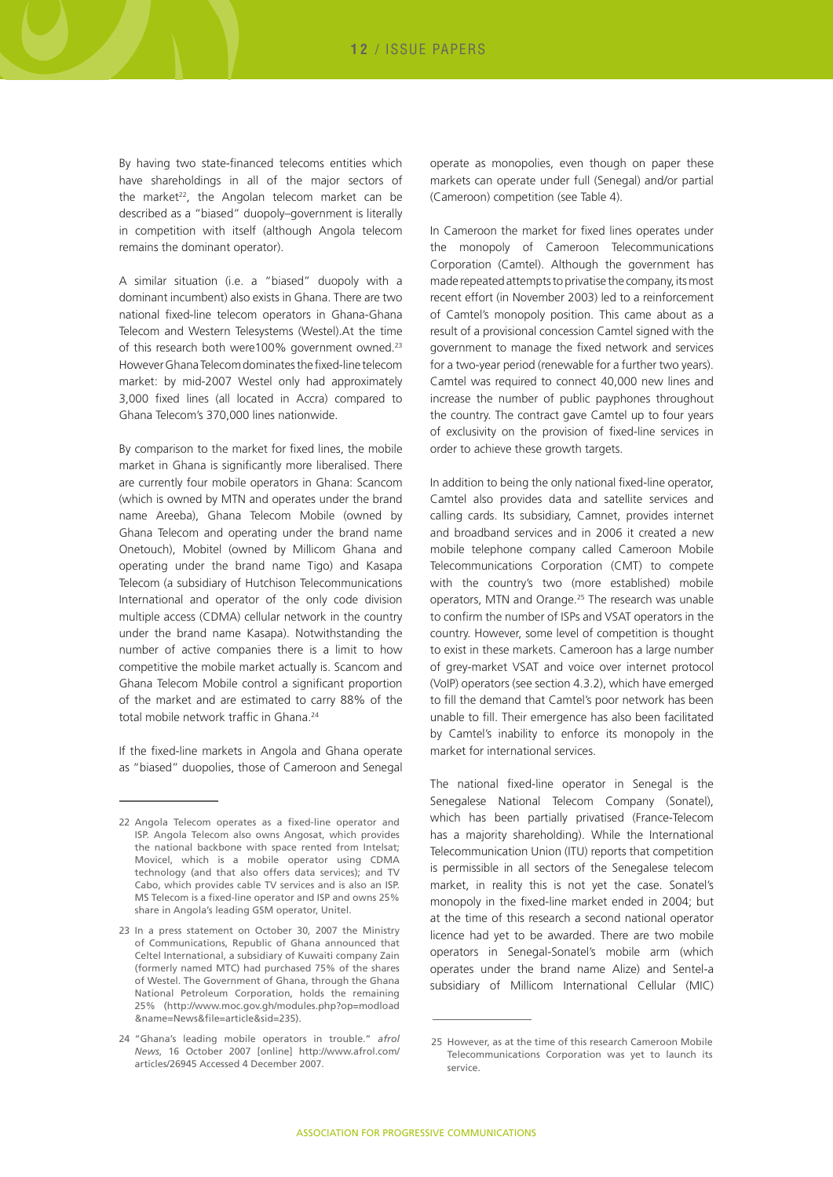By having two state-financed telecoms entities which have shareholdings in all of the major sectors of the market<sup>22</sup>, the Angolan telecom market can be described as a "biased" duopoly–government is literally in competition with itself (although Angola telecom remains the dominant operator).

A similar situation (i.e. a "biased" duopoly with a dominant incumbent) also exists in Ghana. There are two national fixed-line telecom operators in Ghana-Ghana Telecom and Western Telesystems (Westel).At the time of this research both were100% government owned.<sup>23</sup> However Ghana Telecom dominates the fixed-line telecom market: by mid-2007 Westel only had approximately 3,000 fixed lines (all located in Accra) compared to Ghana Telecom's 370,000 lines nationwide.

By comparison to the market for fixed lines, the mobile market in Ghana is significantly more liberalised. There are currently four mobile operators in Ghana: Scancom (which is owned by MTN and operates under the brand name Areeba), Ghana Telecom Mobile (owned by Ghana Telecom and operating under the brand name Onetouch), Mobitel (owned by Millicom Ghana and operating under the brand name Tigo) and Kasapa Telecom (a subsidiary of Hutchison Telecommunications International and operator of the only code division multiple access (CDMA) cellular network in the country under the brand name Kasapa). Notwithstanding the number of active companies there is a limit to how competitive the mobile market actually is. Scancom and Ghana Telecom Mobile control a significant proportion of the market and are estimated to carry 88% of the total mobile network traffic in Ghana<sup>24</sup>

If the fixed-line markets in Angola and Ghana operate as "biased" duopolies, those of Cameroon and Senegal

operate as monopolies, even though on paper these markets can operate under full (Senegal) and/or partial (Cameroon) competition (see Table 4).

In Cameroon the market for fixed lines operates under the monopoly of Cameroon Telecommunications Corporation (Camtel). Although the government has made repeated attempts to privatise the company, its most recent effort (in November 2003) led to a reinforcement of Camtel's monopoly position. This came about as a result of a provisional concession Camtel signed with the government to manage the fixed network and services for a two-year period (renewable for a further two years). Camtel was required to connect 40,000 new lines and increase the number of public payphones throughout the country. The contract gave Camtel up to four years of exclusivity on the provision of fixed-line services in order to achieve these growth targets.

In addition to being the only national fixed-line operator, Camtel also provides data and satellite services and calling cards. Its subsidiary, Camnet, provides internet and broadband services and in 2006 it created a new mobile telephone company called Cameroon Mobile Telecommunications Corporation (CMT) to compete with the country's two (more established) mobile operators, MTN and Orange.25 The research was unable to confirm the number of ISPs and VSAT operators in the country. However, some level of competition is thought to exist in these markets. Cameroon has a large number of grey-market VSAT and voice over internet protocol (VoIP) operators (see section 4.3.2), which have emerged to fill the demand that Camtel's poor network has been unable to fill. Their emergence has also been facilitated by Camtel's inability to enforce its monopoly in the market for international services.

The national fixed-line operator in Senegal is the Senegalese National Telecom Company (Sonatel), which has been partially privatised (France-Telecom has a majority shareholding). While the International Telecommunication Union (ITU) reports that competition is permissible in all sectors of the Senegalese telecom market, in reality this is not yet the case. Sonatel's monopoly in the fixed-line market ended in 2004; but at the time of this research a second national operator licence had yet to be awarded. There are two mobile operators in Senegal-Sonatel's mobile arm (which operates under the brand name Alize) and Sentel-a subsidiary of Millicom International Cellular (MIC)

<sup>22</sup> Angola Telecom operates as a fixed-line operator and ISP. Angola Telecom also owns Angosat, which provides the national backbone with space rented from Intelsat; Movicel, which is a mobile operator using CDMA technology (and that also offers data services); and TV Cabo, which provides cable TV services and is also an ISP. MS Telecom is a fixed-line operator and ISP and owns 25% share in Angola's leading GSM operator, Unitel.

<sup>23</sup> In a press statement on October 30, 2007 the Ministry of Communications, Republic of Ghana announced that Celtel International, a subsidiary of Kuwaiti company Zain (formerly named MTC) had purchased 75% of the shares of Westel. The Government of Ghana, through the Ghana National Petroleum Corporation, holds the remaining 25% (http://www.moc.gov.gh/modules.php?op=modload &name=News&file=article&sid=235).

<sup>24</sup> "Ghana's leading mobile operators in trouble." *afrol News*, 16 October 2007 [online] http://www.afrol.com/ articles/26945 Accessed 4 December 2007.

<sup>25</sup> However, as at the time of this research Cameroon Mobile Telecommunications Corporation was yet to launch its service.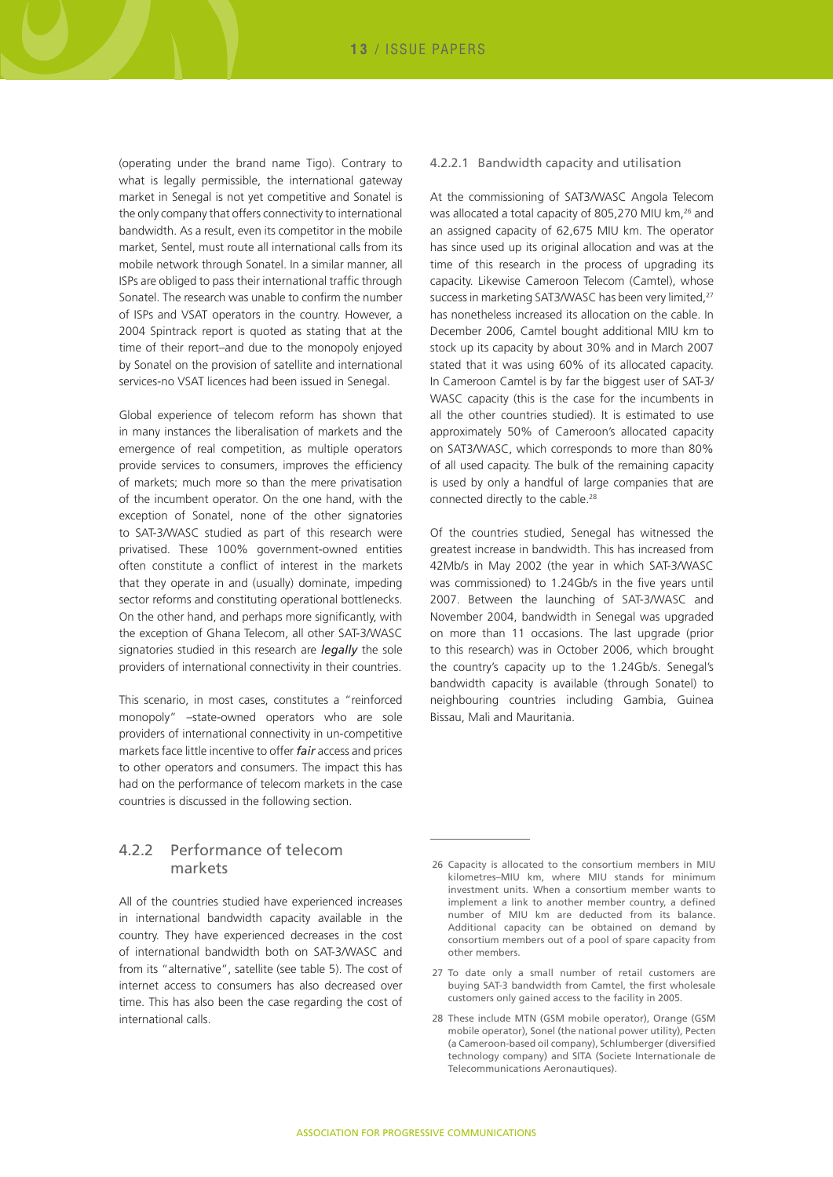(operating under the brand name Tigo). Contrary to what is legally permissible, the international gateway market in Senegal is not yet competitive and Sonatel is the only company that offers connectivity to international bandwidth. As a result, even its competitor in the mobile market, Sentel, must route all international calls from its mobile network through Sonatel. In a similar manner, all ISPs are obliged to pass their international traffic through Sonatel. The research was unable to confirm the number of ISPs and VSAT operators in the country. However, a 2004 Spintrack report is quoted as stating that at the time of their report–and due to the monopoly enjoyed by Sonatel on the provision of satellite and international services-no VSAT licences had been issued in Senegal.

Global experience of telecom reform has shown that in many instances the liberalisation of markets and the emergence of real competition, as multiple operators provide services to consumers, improves the efficiency of markets; much more so than the mere privatisation of the incumbent operator. On the one hand, with the exception of Sonatel, none of the other signatories to SAT-3/WASC studied as part of this research were privatised. These 100% government-owned entities often constitute a conflict of interest in the markets that they operate in and (usually) dominate, impeding sector reforms and constituting operational bottlenecks. On the other hand, and perhaps more significantly, with the exception of Ghana Telecom, all other SAT-3/WASC signatories studied in this research are *legally* the sole providers of international connectivity in their countries.

This scenario, in most cases, constitutes a "reinforced monopoly" –state-owned operators who are sole providers of international connectivity in un-competitive markets face little incentive to offer *fair* access and prices to other operators and consumers. The impact this has had on the performance of telecom markets in the case countries is discussed in the following section.

#### 4.2.2 Performance of telecom markets

All of the countries studied have experienced increases in international bandwidth capacity available in the country. They have experienced decreases in the cost of international bandwidth both on SAT-3/WASC and from its "alternative", satellite (see table 5). The cost of internet access to consumers has also decreased over time. This has also been the case regarding the cost of international calls.

#### 4.2.2.1 Bandwidth capacity and utilisation

At the commissioning of SAT3/WASC Angola Telecom was allocated a total capacity of 805,270 MIU km,<sup>26</sup> and an assigned capacity of 62,675 MIU km. The operator has since used up its original allocation and was at the time of this research in the process of upgrading its capacity. Likewise Cameroon Telecom (Camtel), whose success in marketing SAT3/WASC has been very limited,<sup>27</sup> has nonetheless increased its allocation on the cable. In December 2006, Camtel bought additional MIU km to stock up its capacity by about 30% and in March 2007 stated that it was using 60% of its allocated capacity. In Cameroon Camtel is by far the biggest user of SAT-3/ WASC capacity (this is the case for the incumbents in all the other countries studied). It is estimated to use approximately 50% of Cameroon's allocated capacity on SAT3/WASC, which corresponds to more than 80% of all used capacity. The bulk of the remaining capacity is used by only a handful of large companies that are connected directly to the cable.28

Of the countries studied, Senegal has witnessed the greatest increase in bandwidth. This has increased from 42Mb/s in May 2002 (the year in which SAT-3/WASC was commissioned) to 1.24Gb/s in the five years until 2007. Between the launching of SAT-3/WASC and November 2004, bandwidth in Senegal was upgraded on more than 11 occasions. The last upgrade (prior to this research) was in October 2006, which brought the country's capacity up to the 1.24Gb/s. Senegal's bandwidth capacity is available (through Sonatel) to neighbouring countries including Gambia, Guinea Bissau, Mali and Mauritania.

<sup>26</sup> Capacity is allocated to the consortium members in MIU kilometres–MIU km, where MIU stands for minimum investment units. When a consortium member wants to implement a link to another member country, a defined number of MIU km are deducted from its balance. Additional capacity can be obtained on demand by consortium members out of a pool of spare capacity from other members.

<sup>27</sup> To date only a small number of retail customers are buying SAT-3 bandwidth from Camtel, the first wholesale customers only gained access to the facility in 2005.

<sup>28</sup> These include MTN (GSM mobile operator), Orange (GSM mobile operator), Sonel (the national power utility), Pecten (a Cameroon-based oil company), Schlumberger (diversified technology company) and SITA (Societe Internationale de Telecommunications Aeronautiques).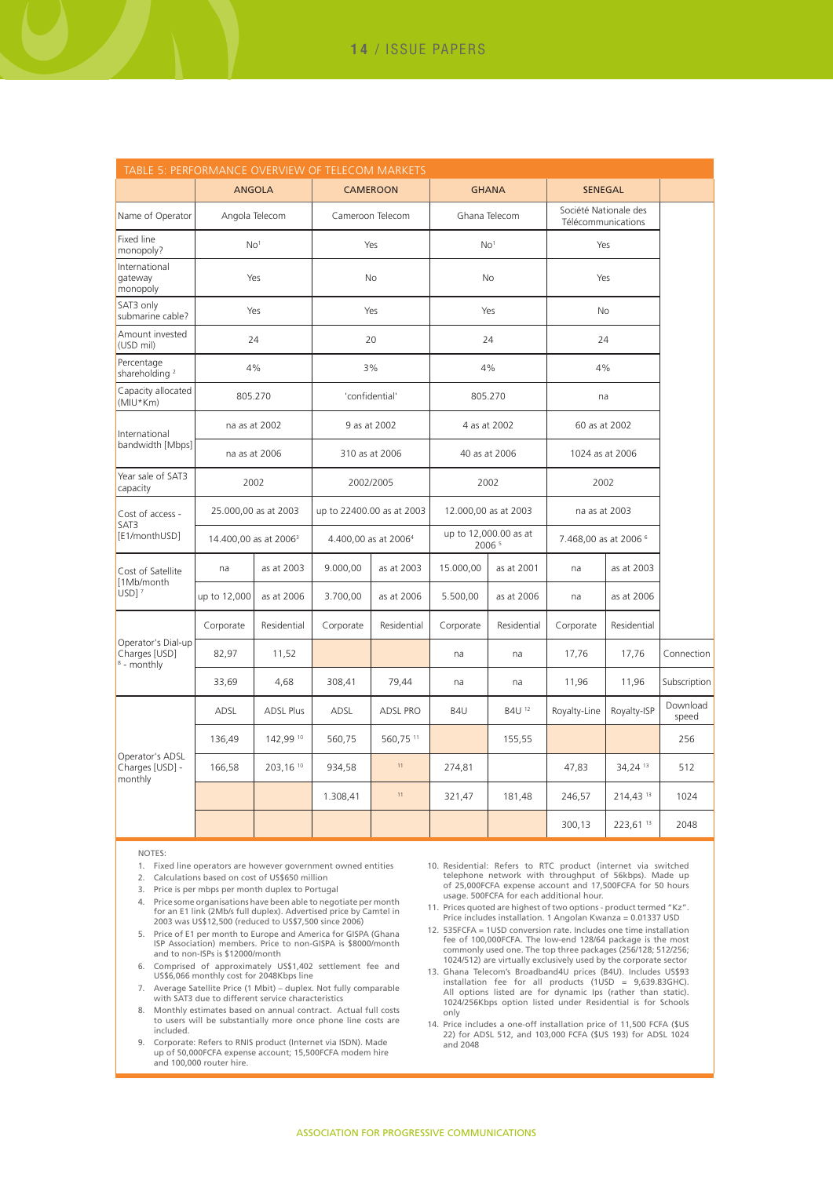| TABLE 5: PERFORMANCE OVERVIEW OF TELECOM MARKETS              |                                   |                  |                                  |                |                      |                                 |                       |                                             |                   |
|---------------------------------------------------------------|-----------------------------------|------------------|----------------------------------|----------------|----------------------|---------------------------------|-----------------------|---------------------------------------------|-------------------|
|                                                               | <b>ANGOLA</b>                     |                  | <b>CAMEROON</b>                  |                | <b>GHANA</b>         |                                 | <b>SENEGAL</b>        |                                             |                   |
| Name of Operator                                              | Angola Telecom                    |                  | Cameroon Telecom                 |                |                      | Ghana Telecom                   |                       | Société Nationale des<br>Télécommunications |                   |
| Fixed line<br>monopoly?                                       | No <sup>1</sup>                   |                  | Yes                              |                | No <sup>1</sup>      |                                 | Yes                   |                                             |                   |
| International<br>gateway<br>monopoly                          | Yes                               |                  | <b>No</b>                        |                | <b>No</b>            |                                 | Yes                   |                                             |                   |
| SAT3 only<br>submarine cable?                                 |                                   | Yes              | Yes                              |                | Yes                  |                                 | <b>No</b>             |                                             |                   |
| Amount invested<br>(USD mil)                                  | 24                                |                  | 20                               |                | 24                   |                                 | 24                    |                                             |                   |
| Percentage<br>shareholding <sup>2</sup>                       | 4%                                |                  |                                  | 3%             | 4%                   |                                 | 4%                    |                                             |                   |
| Capacity allocated<br>(MIU*Km)                                | 805.270                           |                  |                                  | 'confidential' |                      | 805.270                         | na                    |                                             |                   |
| International                                                 | na as at 2002                     |                  |                                  | 9 as at 2002   |                      | 4 as at 2002                    |                       | 60 as at 2002                               |                   |
| bandwidth [Mbps]                                              | na as at 2006                     |                  |                                  | 310 as at 2006 | 40 as at 2006        |                                 | 1024 as at 2006       |                                             |                   |
| Year sale of SAT3<br>capacity                                 | 2002                              |                  | 2002/2005                        |                | 2002                 |                                 | 2002                  |                                             |                   |
| Cost of access -                                              | 25.000,00 as at 2003              |                  | up to 22400.00 as at 2003        |                | 12.000,00 as at 2003 |                                 | na as at 2003         |                                             |                   |
| SAT3<br>[E1/monthUSD]                                         | 14.400,00 as at 2006 <sup>3</sup> |                  | 4.400,00 as at 2006 <sup>4</sup> |                |                      | up to 12,000.00 as at<br>2006 5 | 7.468,00 as at 2006 6 |                                             |                   |
| Cost of Satellite                                             | na                                | as at 2003       | 9.000,00                         | as at 2003     | 15.000,00            | as at 2001                      | na                    | as at 2003                                  |                   |
| [1Mb/month]<br>$USD$ ] <sup>7</sup>                           | up to 12,000                      | as at 2006       | 3.700,00                         | as at 2006     | 5.500,00             | as at 2006                      | na                    | as at 2006                                  |                   |
|                                                               | Corporate                         | Residential      | Corporate                        | Residential    | Corporate            | Residential                     | Corporate             | Residential                                 |                   |
| Operator's Dial-up<br>Charges [USD]<br><sup>8</sup> - monthly | 82,97                             | 11,52            |                                  |                | na                   | na                              | 17,76                 | 17,76                                       | Connection        |
|                                                               | 33,69                             | 4,68             | 308,41                           | 79,44          | na                   | na                              | 11,96                 | 11,96                                       | Subscription      |
|                                                               | ADSL                              | <b>ADSL Plus</b> | ADSL                             | ADSL PRO       | B4U                  | B4U <sup>12</sup>               | Royalty-Line          | Royalty-ISP                                 | Download<br>speed |
| Operator's ADSL<br>Charges [USD] -<br>monthly                 | 136,49                            | 142,99 10        | 560,75                           | 560,75 11      |                      | 155,55                          |                       |                                             | 256               |
|                                                               | 166,58                            | 203,16 10        | 934,58                           | $11$           | 274,81               |                                 | 47,83                 | 34,24 13                                    | 512               |
|                                                               |                                   |                  | 1.308,41                         | 11             | 321,47               | 181,48                          | 246,57                | 214,43 13                                   | 1024              |
|                                                               |                                   |                  |                                  |                |                      |                                 | 300,13                | 223,61 13                                   | 2048              |

NOTES:

- 1. Fixed line operators are however government owned entities
- 2. Calculations based on cost of US\$650 million
- 3. Price is per mbps per month duplex to Portugal
- 4. Price some organisations have been able to negotiate per month for an E1 link (2Mb/s full duplex). Advertised price by Camtel in 2003 was US\$12,500 (reduced to US\$7,500 since 2006)
- 5. Price of E1 per month to Europe and America for GISPA (Ghana ISP Association) members. Price to non-GISPA is \$8000/month and to non-ISPs is \$12000/month
- 6. Comprised of approximately US\$1,402 settlement fee and US\$6,066 monthly cost for 2048Kbps line
- 7. Average Satellite Price (1 Mbit) duplex. Not fully comparable with SAT3 due to different service characteristics
- 8. Monthly estimates based on annual contract. Actual full costs to users will be substantially more once phone line costs are included.
- 9. Corporate: Refers to RNIS product (Internet via ISDN). Made up of 50,000FCFA expense account; 15,500FCFA modem hire and 100,000 router hire.
- 10. Residential: Refers to RTC product (internet via switched telephone network with throughput of 56kbps). Made up of 25,000FCFA expense account and 17,500FCFA for 50 hours usage. 500FCFA for each additional hour.
- 11. Prices quoted are highest of two options product termed "Kz". Price includes installation. 1 Angolan Kwanza = 0.01337 USD
- 12. 535FCFA = 1USD conversion rate. Includes one time installation fee of 100,000FCFA. The low-end 128/64 package is the most commonly used one. The top three packages (256/128; 512/256; 1024/512) are virtually exclusively used by the corporate sector
- 13. Ghana Telecom's Broadband4U prices (B4U). Includes US\$93<br>installation fee for all products (1USD = 9,639.83GHC).<br>All options listed are for dynamic lps (rather than static).<br>1024/256Kbps option listed under Residentia only
- 14. Price includes a one-off installation price of 11,500 FCFA (\$US 22) for ADSL 512, and 103,000 FCFA (\$US 193) for ADSL 1024 and 2048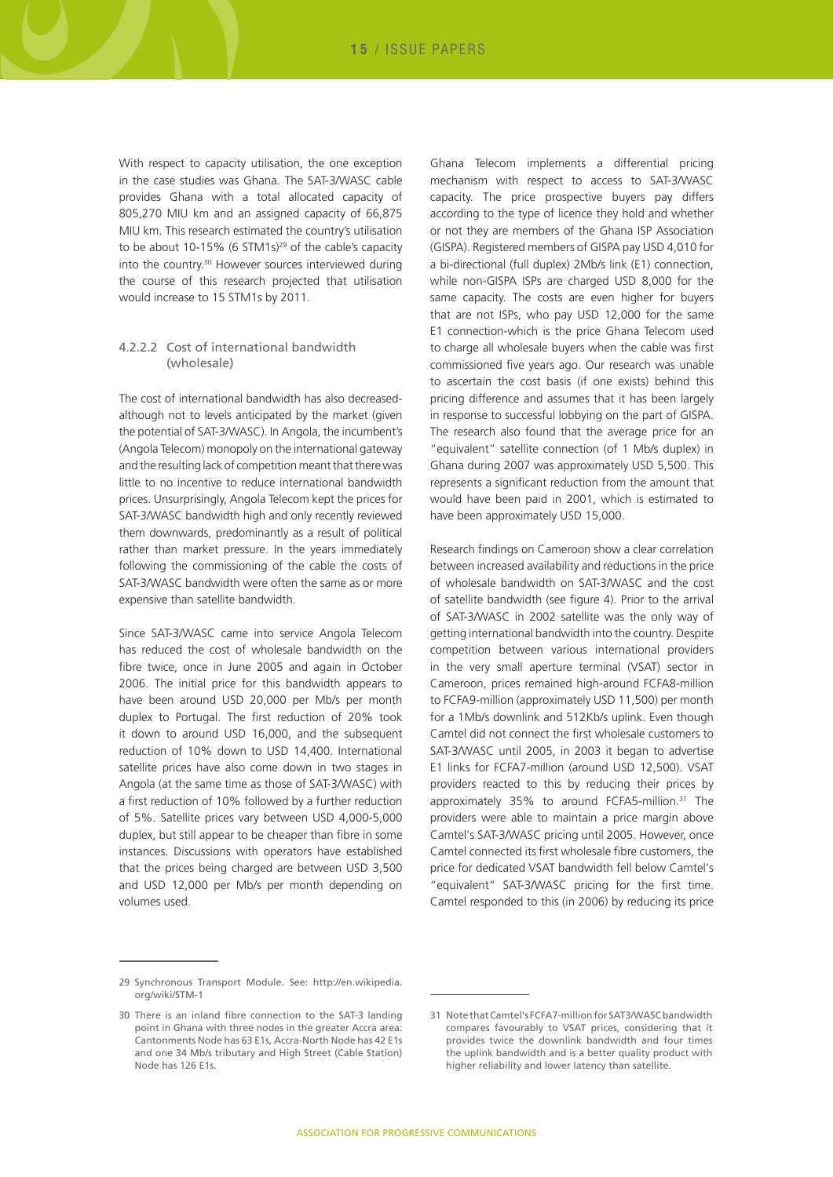With respect to capacity utilisation, the one exception in the case studies was Ghana. The SAT-3/WASC cable provides Ghana with a total allocated capacity of 805,270 MIU km and an assigned capacity of 66,875 MIU km. This research estimated the country's utilisation to be about 10-15% (6 STM1s) $^{29}$  of the cable's capacity into the country.30 However sources interviewed during the course of this research projected that utilisation would increase to 15 STM1s by 2011.

#### 4.2.2.2 Cost of international bandwidth (wholesale)

The cost of international bandwidth has also decreasedalthough not to levels anticipated by the market (given the potential of SAT-3/WASC). In Angola, the incumbent's (Angola Telecom) monopoly on the international gateway and the resulting lack of competition meant that there was little to no incentive to reduce international bandwidth prices. Unsurprisingly, Angola Telecom kept the prices for SAT-3/WASC bandwidth high and only recently reviewed them downwards, predominantly as a result of political rather than market pressure. In the years immediately following the commissioning of the cable the costs of SAT-3/WASC bandwidth were often the same as or more expensive than satellite bandwidth.

Since SAT-3/WASC came into service Angola Telecom has reduced the cost of wholesale bandwidth on the fibre twice, once in June 2005 and again in October 2006. The initial price for this bandwidth appears to have been around USD 20,000 per Mb/s per month duplex to Portugal. The first reduction of 20% took it down to around USD 16,000, and the subsequent reduction of 10% down to USD 14,400. International satellite prices have also come down in two stages in Angola (at the same time as those of SAT-3/WASC) with a first reduction of 10% followed by a further reduction of 5%. Satellite prices vary between USD 4,000-5,000 duplex, but still appear to be cheaper than fibre in some instances. Discussions with operators have established that the prices being charged are between USD 3,500 and USD 12,000 per Mb/s per month depending on volumes used.

Ghana Telecom implements a differential pricing mechanism with respect to access to SAT-3/WASC capacity. The price prospective buyers pay differs according to the type of licence they hold and whether or not they are members of the Ghana ISP Association (GISPA). Registered members of GISPA pay USD 4,010 for a bi-directional (full duplex) 2Mb/s link (E1) connection, while non-GISPA ISPs are charged USD 8,000 for the same capacity. The costs are even higher for buyers that are not ISPs, who pay USD 12,000 for the same E1 connection-which is the price Ghana Telecom used to charge all wholesale buyers when the cable was first commissioned five years ago. Our research was unable to ascertain the cost basis (if one exists) behind this pricing difference and assumes that it has been largely in response to successful lobbying on the part of GISPA. The research also found that the average price for an "equivalent" satellite connection (of 1 Mb/s duplex) in Ghana during 2007 was approximately USD 5,500. This represents a significant reduction from the amount that would have been paid in 2001, which is estimated to have been approximately USD 15,000.

Research findings on Cameroon show a clear correlation between increased availability and reductions in the price of wholesale bandwidth on SAT-3/WASC and the cost of satellite bandwidth (see figure 4). Prior to the arrival of SAT-3/WASC in 2002 satellite was the only way of getting international bandwidth into the country. Despite competition between various international providers in the very small aperture terminal (VSAT) sector in Cameroon, prices remained high-around FCFA8-million to FCFA9-million (approximately USD 11,500) per month for a 1Mb/s downlink and 512Kb/s uplink. Even though Camtel did not connect the first wholesale customers to SAT-3/WASC until 2005, in 2003 it began to advertise E1 links for FCFA7-million (around USD 12,500). VSAT providers reacted to this by reducing their prices by approximately 35% to around FCFA5-million.<sup>31</sup> The providers were able to maintain a price margin above Camtel's SAT-3/WASC pricing until 2005. However, once Camtel connected its first wholesale fibre customers, the price for dedicated VSAT bandwidth fell below Camtel's "equivalent" SAT-3/WASC pricing for the first time. Camtel responded to this (in 2006) by reducing its price

<sup>29</sup> Synchronous Transport Module. See: http://en.wikipedia. org/wiki/STM-1

<sup>30</sup> There is an inland fibre connection to the SAT-3 landing point in Ghana with three nodes in the greater Accra area: Cantonments Node has 63 E1s, Accra-North Node has 42 E1s and one 34 Mb/s tributary and High Street (Cable Station) Node has 126 E1s.

<sup>31</sup> Note that Camtel's FCFA7-million for SAT3/WASC bandwidth compares favourably to VSAT prices, considering that it provides twice the downlink bandwidth and four times the uplink bandwidth and is a better quality product with higher reliability and lower latency than satellite.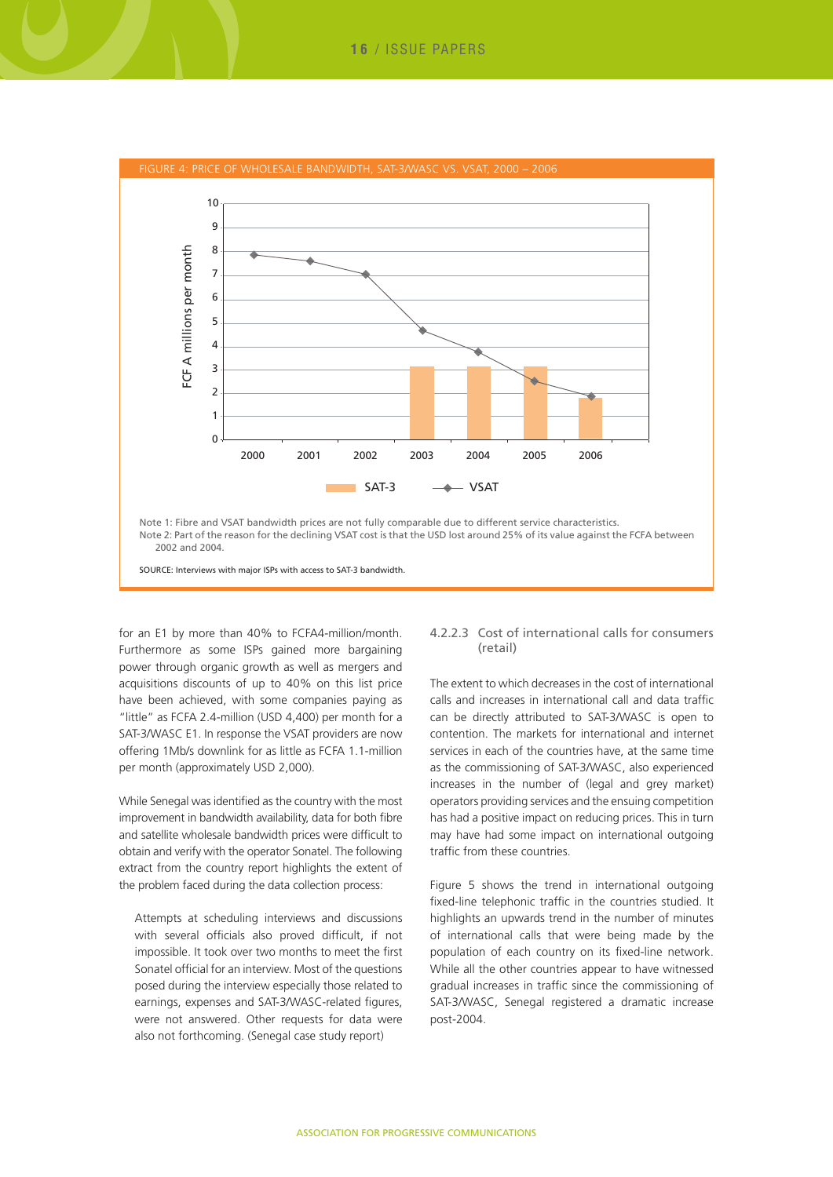

for an E1 by more than 40% to FCFA4-million/month. Furthermore as some ISPs gained more bargaining power through organic growth as well as mergers and acquisitions discounts of up to 40% on this list price have been achieved, with some companies paying as "little" as FCFA 2.4-million (USD 4,400) per month for a SAT-3/WASC E1. In response the VSAT providers are now offering 1Mb/s downlink for as little as FCFA 1.1-million per month (approximately USD 2,000).

While Senegal was identified as the country with the most improvement in bandwidth availability, data for both fibre and satellite wholesale bandwidth prices were difficult to obtain and verify with the operator Sonatel. The following extract from the country report highlights the extent of the problem faced during the data collection process:

Attempts at scheduling interviews and discussions with several officials also proved difficult, if not impossible. It took over two months to meet the first Sonatel official for an interview. Most of the questions posed during the interview especially those related to earnings, expenses and SAT-3/WASC-related figures, were not answered. Other requests for data were also not forthcoming. (Senegal case study report)

#### 4.2.2.3 Cost of international calls for consumers (retail)

The extent to which decreases in the cost of international calls and increases in international call and data traffic can be directly attributed to SAT-3/WASC is open to contention. The markets for international and internet services in each of the countries have, at the same time as the commissioning of SAT-3/WASC, also experienced increases in the number of (legal and grey market) operators providing services and the ensuing competition has had a positive impact on reducing prices. This in turn may have had some impact on international outgoing traffic from these countries.

Figure 5 shows the trend in international outgoing fixed-line telephonic traffic in the countries studied. It highlights an upwards trend in the number of minutes of international calls that were being made by the population of each country on its fixed-line network. While all the other countries appear to have witnessed gradual increases in traffic since the commissioning of SAT-3/WASC, Senegal registered a dramatic increase post-2004.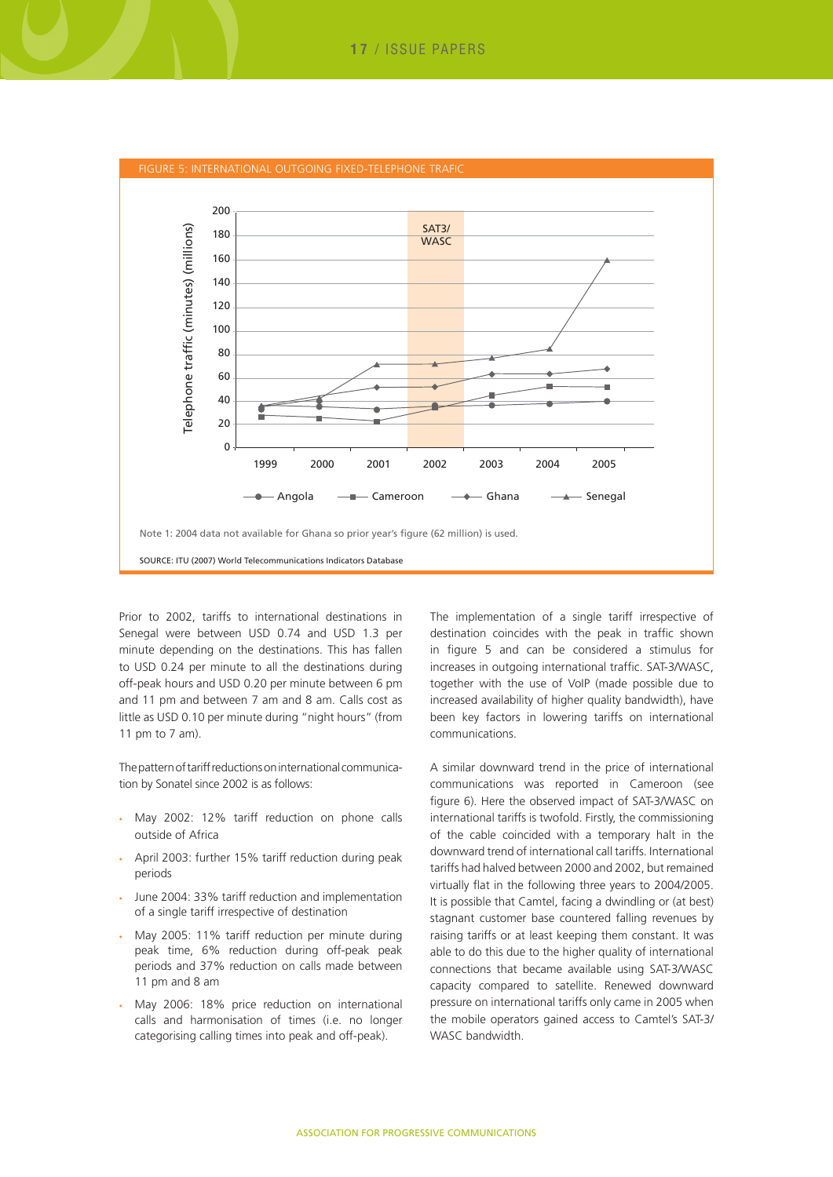

Prior to 2002, tariffs to international destinations in Senegal were between USD 0.74 and USD 1.3 per minute depending on the destinations. This has fallen to USD 0.24 per minute to all the destinations during off-peak hours and USD 0.20 per minute between 6 pm and 11 pm and between 7 am and 8 am. Calls cost as little as USD 0.10 per minute during "night hours" (from 11 pm to 7 am).

The pattern of tariff reductions on international communication by Sonatel since 2002 is as follows:

- Mav 2002: 12% tariff reduction on phone calls outside of Africa
- April 2003: further 15% tariff reduction during peak periods
- June 2004: 33% tariff reduction and implementation of a single tariff irrespective of destination
- May 2005: 11% tariff reduction per minute during peak time, 6% reduction during off-peak peak periods and 37% reduction on calls made between 11 pm and 8 am
- May 2006: 18% price reduction on international calls and harmonisation of times (i.e. no longer categorising calling times into peak and off-peak).

The implementation of a single tariff irrespective of destination coincides with the peak in traffic shown in figure 5 and can be considered a stimulus for increases in outgoing international traffic. SAT-3/WASC, together with the use of VoIP (made possible due to increased availability of higher quality bandwidth), have been key factors in lowering tariffs on international communications.

A similar downward trend in the price of international communications was reported in Cameroon (see figure 6). Here the observed impact of SAT-3/WASC on international tariffs is twofold. Firstly, the commissioning of the cable coincided with a temporary halt in the downward trend of international call tariffs. International tariffs had halved between 2000 and 2002, but remained virtually flat in the following three years to 2004/2005. It is possible that Camtel, facing a dwindling or (at best) stagnant customer base countered falling revenues by raising tariffs or at least keeping them constant. It was able to do this due to the higher quality of international connections that became available using SAT-3/WASC capacity compared to satellite. Renewed downward pressure on international tariffs only came in 2005 when the mobile operators gained access to Camtel's SAT-3/ WASC bandwidth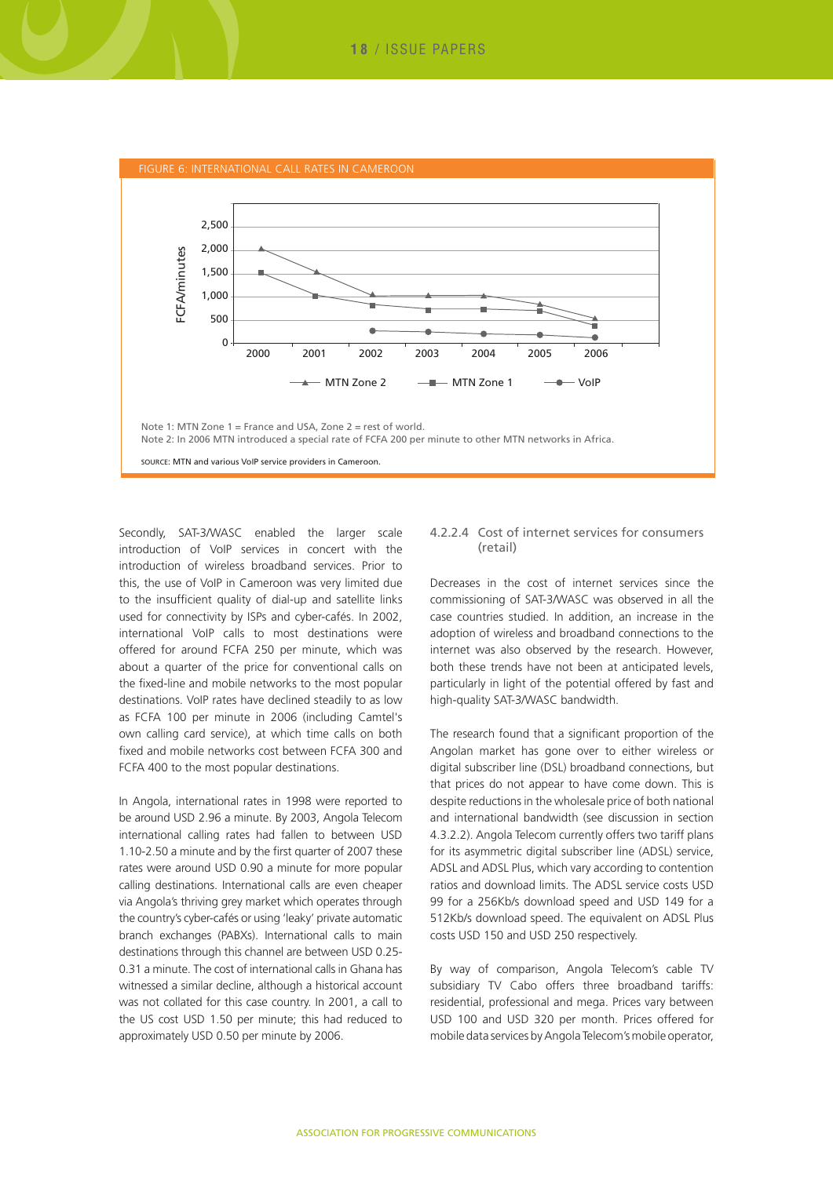

Secondly, SAT-3/WASC enabled the larger scale introduction of VoIP services in concert with the introduction of wireless broadband services. Prior to this, the use of VoIP in Cameroon was very limited due to the insufficient quality of dial-up and satellite links used for connectivity by ISPs and cyber-cafés. In 2002, international VoIP calls to most destinations were offered for around FCFA 250 per minute, which was about a quarter of the price for conventional calls on the fixed-line and mobile networks to the most popular destinations. VoIP rates have declined steadily to as low as FCFA 100 per minute in 2006 (including Camtel's own calling card service), at which time calls on both fixed and mobile networks cost between FCFA 300 and FCFA 400 to the most popular destinations.

In Angola, international rates in 1998 were reported to be around USD 2.96 a minute. By 2003, Angola Telecom international calling rates had fallen to between USD 1.10-2.50 a minute and by the first quarter of 2007 these rates were around USD 0.90 a minute for more popular calling destinations. International calls are even cheaper via Angola's thriving grey market which operates through the country's cyber-cafés or using 'leaky' private automatic branch exchanges (PABXs). International calls to main destinations through this channel are between USD 0.25- 0.31 a minute. The cost of international calls in Ghana has witnessed a similar decline, although a historical account was not collated for this case country. In 2001, a call to the US cost USD 1.50 per minute; this had reduced to approximately USD 0.50 per minute by 2006.

#### 4.2.2.4 Cost of internet services for consumers (retail)

Decreases in the cost of internet services since the commissioning of SAT-3/WASC was observed in all the case countries studied. In addition, an increase in the adoption of wireless and broadband connections to the internet was also observed by the research. However, both these trends have not been at anticipated levels, particularly in light of the potential offered by fast and high-quality SAT-3/WASC bandwidth.

The research found that a significant proportion of the Angolan market has gone over to either wireless or digital subscriber line (DSL) broadband connections, but that prices do not appear to have come down. This is despite reductions in the wholesale price of both national and international bandwidth (see discussion in section 4.3.2.2). Angola Telecom currently offers two tariff plans for its asymmetric digital subscriber line (ADSL) service, ADSL and ADSL Plus, which vary according to contention ratios and download limits. The ADSL service costs USD 99 for a 256Kb/s download speed and USD 149 for a 512Kb/s download speed. The equivalent on ADSL Plus costs USD 150 and USD 250 respectively.

By way of comparison, Angola Telecom's cable TV subsidiary TV Cabo offers three broadband tariffs: residential, professional and mega. Prices vary between USD 100 and USD 320 per month. Prices offered for mobile data services by Angola Telecom's mobile operator,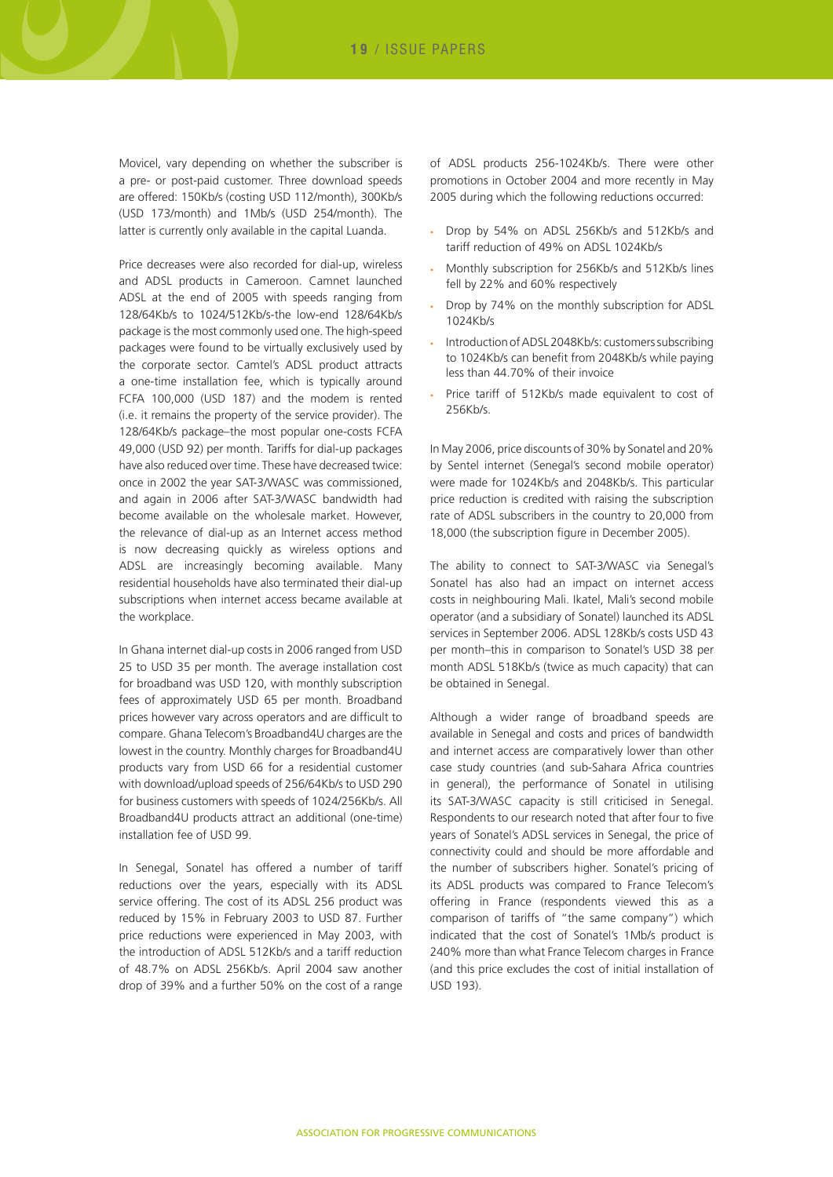Movicel, vary depending on whether the subscriber is a pre- or post-paid customer. Three download speeds are offered: 150Kb/s (costing USD 112/month), 300Kb/s (USD 173/month) and 1Mb/s (USD 254/month). The latter is currently only available in the capital Luanda.

Price decreases were also recorded for dial-up, wireless and ADSL products in Cameroon. Camnet launched ADSL at the end of 2005 with speeds ranging from 128/64Kb/s to 1024/512Kb/s-the low-end 128/64Kb/s package is the most commonly used one. The high-speed packages were found to be virtually exclusively used by the corporate sector. Camtel's ADSL product attracts a one-time installation fee, which is typically around FCFA 100,000 (USD 187) and the modem is rented (i.e. it remains the property of the service provider). The 128/64Kb/s package–the most popular one-costs FCFA 49,000 (USD 92) per month. Tariffs for dial-up packages have also reduced over time. These have decreased twice: once in 2002 the year SAT-3/WASC was commissioned, and again in 2006 after SAT-3/WASC bandwidth had become available on the wholesale market. However, the relevance of dial-up as an Internet access method is now decreasing quickly as wireless options and ADSL are increasingly becoming available. Many residential households have also terminated their dial-up subscriptions when internet access became available at the workplace.

In Ghana internet dial-up costs in 2006 ranged from USD 25 to USD 35 per month. The average installation cost for broadband was USD 120, with monthly subscription fees of approximately USD 65 per month. Broadband prices however vary across operators and are difficult to compare. Ghana Telecom's Broadband4U charges are the lowest in the country. Monthly charges for Broadband4U products vary from USD 66 for a residential customer with download/upload speeds of 256/64Kb/s to USD 290 for business customers with speeds of 1024/256Kb/s. All Broadband4U products attract an additional (one-time) installation fee of USD 99.

In Senegal, Sonatel has offered a number of tariff reductions over the years, especially with its ADSL service offering. The cost of its ADSL 256 product was reduced by 15% in February 2003 to USD 87. Further price reductions were experienced in May 2003, with the introduction of ADSL 512Kb/s and a tariff reduction of 48.7% on ADSL 256Kb/s. April 2004 saw another drop of 39% and a further 50% on the cost of a range

of ADSL products 256-1024Kb/s. There were other promotions in October 2004 and more recently in May 2005 during which the following reductions occurred:

- Drop by 54% on ADSL 256Kb/s and 512Kb/s and tariff reduction of 49% on ADSL 1024Kb/s
- Monthly subscription for 256Kb/s and 512Kb/s lines fell by 22% and 60% respectively
- Drop by 74% on the monthly subscription for ADSL 1024Kb/s
- Introduction of ADSL 2048Kb/s: customers subscribing to 1024Kb/s can benefit from 2048Kb/s while paying less than 44.70% of their invoice
- Price tariff of 512Kb/s made equivalent to cost of 256Kb/s.

In May 2006, price discounts of 30% by Sonatel and 20% by Sentel internet (Senegal's second mobile operator) were made for 1024Kb/s and 2048Kb/s. This particular price reduction is credited with raising the subscription rate of ADSL subscribers in the country to 20,000 from 18,000 (the subscription figure in December 2005).

The ability to connect to SAT-3/WASC via Senegal's Sonatel has also had an impact on internet access costs in neighbouring Mali. Ikatel, Mali's second mobile operator (and a subsidiary of Sonatel) launched its ADSL services in September 2006. ADSL 128Kb/s costs USD 43 per month–this in comparison to Sonatel's USD 38 per month ADSL 518Kb/s (twice as much capacity) that can be obtained in Senegal.

Although a wider range of broadband speeds are available in Senegal and costs and prices of bandwidth and internet access are comparatively lower than other case study countries (and sub-Sahara Africa countries in general), the performance of Sonatel in utilising its SAT-3/WASC capacity is still criticised in Senegal. Respondents to our research noted that after four to five years of Sonatel's ADSL services in Senegal, the price of connectivity could and should be more affordable and the number of subscribers higher. Sonatel's pricing of its ADSL products was compared to France Telecom's offering in France (respondents viewed this as a comparison of tariffs of "the same company") which indicated that the cost of Sonatel's 1Mb/s product is 240% more than what France Telecom charges in France (and this price excludes the cost of initial installation of USD 193).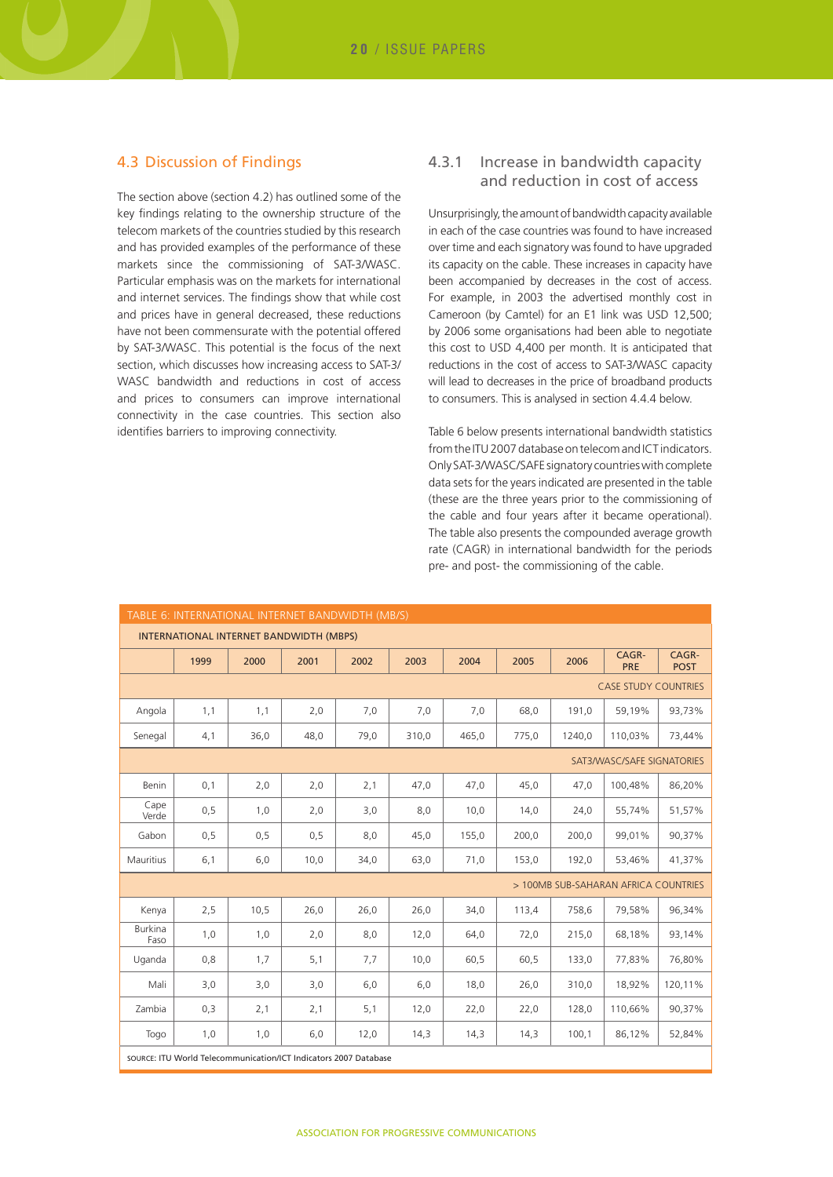#### 4.3 Discussion of Findings

The section above (section 4.2) has outlined some of the key findings relating to the ownership structure of the telecom markets of the countries studied by this research and has provided examples of the performance of these markets since the commissioning of SAT-3/WASC. Particular emphasis was on the markets for international and internet services. The findings show that while cost and prices have in general decreased, these reductions have not been commensurate with the potential offered by SAT-3/WASC. This potential is the focus of the next section, which discusses how increasing access to SAT-3/ WASC bandwidth and reductions in cost of access and prices to consumers can improve international connectivity in the case countries. This section also identifies barriers to improving connectivity.

#### 4.3.1 Increase in bandwidth capacity and reduction in cost of access

Unsurprisingly, the amount of bandwidth capacity available in each of the case countries was found to have increased over time and each signatory was found to have upgraded its capacity on the cable. These increases in capacity have been accompanied by decreases in the cost of access. For example, in 2003 the advertised monthly cost in Cameroon (by Camtel) for an E1 link was USD 12,500; by 2006 some organisations had been able to negotiate this cost to USD 4,400 per month. It is anticipated that reductions in the cost of access to SAT-3/WASC capacity will lead to decreases in the price of broadband products to consumers. This is analysed in section 4.4.4 below.

Table 6 below presents international bandwidth statistics from the ITU 2007 database on telecom and ICT indicators. Only SAT-3/WASC/SAFE signatory countries with complete data sets for the years indicated are presented in the table (these are the three years prior to the commissioning of the cable and four years after it became operational). The table also presents the compounded average growth rate (CAGR) in international bandwidth for the periods pre- and post- the commissioning of the cable.

| TABLE 6: INTERNATIONAL INTERNET BANDWIDTH (MB/S)                 |      |      |      |      |       |       |       |        |                                      |                      |
|------------------------------------------------------------------|------|------|------|------|-------|-------|-------|--------|--------------------------------------|----------------------|
| INTERNATIONAL INTERNET BANDWIDTH (MBPS)                          |      |      |      |      |       |       |       |        |                                      |                      |
|                                                                  | 1999 | 2000 | 2001 | 2002 | 2003  | 2004  | 2005  | 2006   | CAGR-<br>PRE                         | CAGR-<br><b>POST</b> |
|                                                                  |      |      |      |      |       |       |       |        | <b>CASE STUDY COUNTRIES</b>          |                      |
| Angola                                                           | 1,1  | 1,1  | 2,0  | 7,0  | 7,0   | 7,0   | 68,0  | 191,0  | 59,19%                               | 93,73%               |
| Senegal                                                          | 4,1  | 36,0 | 48,0 | 79,0 | 310,0 | 465.0 | 775,0 | 1240.0 | 110.03%                              | 73.44%               |
|                                                                  |      |      |      |      |       |       |       |        | SAT3/WASC/SAFE SIGNATORIES           |                      |
| Benin                                                            | 0,1  | 2,0  | 2,0  | 2,1  | 47,0  | 47,0  | 45,0  | 47,0   | 100,48%                              | 86,20%               |
| Cape<br>Verde                                                    | 0,5  | 1,0  | 2,0  | 3,0  | 8,0   | 10,0  | 14,0  | 24,0   | 55,74%                               | 51,57%               |
| Gabon                                                            | 0,5  | 0,5  | 0, 5 | 8,0  | 45,0  | 155,0 | 200,0 | 200.0  | 99.01%                               | 90,37%               |
| Mauritius                                                        | 6,1  | 6,0  | 10,0 | 34,0 | 63,0  | 71,0  | 153,0 | 192,0  | 53,46%                               | 41,37%               |
|                                                                  |      |      |      |      |       |       |       |        | > 100MB SUB-SAHARAN AFRICA COUNTRIES |                      |
| Kenya                                                            | 2,5  | 10,5 | 26,0 | 26,0 | 26,0  | 34,0  | 113,4 | 758,6  | 79,58%                               | 96,34%               |
| <b>Burkina</b><br>Faso                                           | 1,0  | 1,0  | 2,0  | 8,0  | 12,0  | 64,0  | 72,0  | 215,0  | 68,18%                               | 93,14%               |
| Uganda                                                           | 0,8  | 1,7  | 5,1  | 7,7  | 10,0  | 60,5  | 60,5  | 133,0  | 77,83%                               | 76,80%               |
| Mali                                                             | 3,0  | 3,0  | 3,0  | 6,0  | 6,0   | 18,0  | 26,0  | 310,0  | 18,92%                               | 120,11%              |
| Zambia                                                           | 0,3  | 2,1  | 2,1  | 5,1  | 12,0  | 22,0  | 22,0  | 128.0  | 110,66%                              | 90,37%               |
| Togo                                                             | 1,0  | 1,0  | 6,0  | 12,0 | 14,3  | 14,3  | 14,3  | 100,1  | 86,12%                               | 52,84%               |
| SOURCE: ITU World Telecommunication/ICT Indicators 2007 Database |      |      |      |      |       |       |       |        |                                      |                      |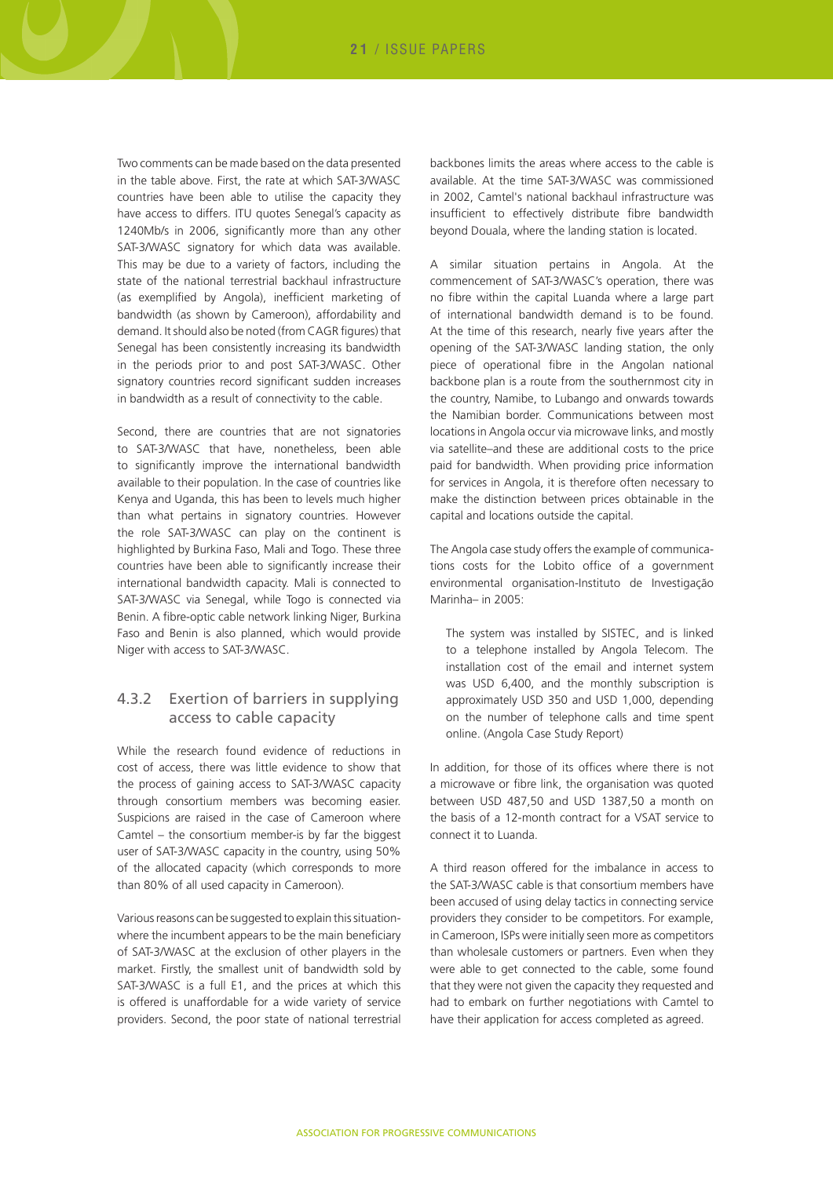Two comments can be made based on the data presented in the table above. First, the rate at which SAT-3/WASC countries have been able to utilise the capacity they have access to differs. ITU quotes Senegal's capacity as 1240Mb/s in 2006, significantly more than any other SAT-3/WASC signatory for which data was available. This may be due to a variety of factors, including the state of the national terrestrial backhaul infrastructure (as exemplified by Angola), inefficient marketing of bandwidth (as shown by Cameroon), affordability and demand. It should also be noted (from CAGR figures) that Senegal has been consistently increasing its bandwidth in the periods prior to and post SAT-3/WASC. Other signatory countries record significant sudden increases in bandwidth as a result of connectivity to the cable.

Second, there are countries that are not signatories to SAT-3/WASC that have, nonetheless, been able to significantly improve the international bandwidth available to their population. In the case of countries like Kenya and Uganda, this has been to levels much higher than what pertains in signatory countries. However the role SAT-3/WASC can play on the continent is highlighted by Burkina Faso, Mali and Togo. These three countries have been able to significantly increase their international bandwidth capacity. Mali is connected to SAT-3/WASC via Senegal, while Togo is connected via Benin. A fibre-optic cable network linking Niger, Burkina Faso and Benin is also planned, which would provide Niger with access to SAT-3/WASC.

#### 4.3.2 Exertion of barriers in supplying access to cable capacity

While the research found evidence of reductions in cost of access, there was little evidence to show that the process of gaining access to SAT-3/WASC capacity through consortium members was becoming easier. Suspicions are raised in the case of Cameroon where Camtel – the consortium member-is by far the biggest user of SAT-3/WASC capacity in the country, using 50% of the allocated capacity (which corresponds to more than 80% of all used capacity in Cameroon).

Various reasons can be suggested to explain this situationwhere the incumbent appears to be the main beneficiary of SAT-3/WASC at the exclusion of other players in the market. Firstly, the smallest unit of bandwidth sold by SAT-3/WASC is a full E1, and the prices at which this is offered is unaffordable for a wide variety of service providers. Second, the poor state of national terrestrial backbones limits the areas where access to the cable is available. At the time SAT-3/WASC was commissioned in 2002, Camtel's national backhaul infrastructure was insufficient to effectively distribute fibre bandwidth beyond Douala, where the landing station is located.

A similar situation pertains in Angola. At the commencement of SAT-3/WASC's operation, there was no fibre within the capital Luanda where a large part of international bandwidth demand is to be found. At the time of this research, nearly five years after the opening of the SAT-3/WASC landing station, the only piece of operational fibre in the Angolan national backbone plan is a route from the southernmost city in the country, Namibe, to Lubango and onwards towards the Namibian border. Communications between most locations in Angola occur via microwave links, and mostly via satellite–and these are additional costs to the price paid for bandwidth. When providing price information for services in Angola, it is therefore often necessary to make the distinction between prices obtainable in the capital and locations outside the capital.

The Angola case study offers the example of communications costs for the Lobito office of a government environmental organisation-Instituto de Investigação Marinha– in 2005:

The system was installed by SISTEC, and is linked to a telephone installed by Angola Telecom. The installation cost of the email and internet system was USD 6,400, and the monthly subscription is approximately USD 350 and USD 1,000, depending on the number of telephone calls and time spent online. (Angola Case Study Report)

In addition, for those of its offices where there is not a microwave or fibre link, the organisation was quoted between USD 487,50 and USD 1387,50 a month on the basis of a 12-month contract for a VSAT service to connect it to Luanda.

A third reason offered for the imbalance in access to the SAT-3/WASC cable is that consortium members have been accused of using delay tactics in connecting service providers they consider to be competitors. For example, in Cameroon, ISPs were initially seen more as competitors than wholesale customers or partners. Even when they were able to get connected to the cable, some found that they were not given the capacity they requested and had to embark on further negotiations with Camtel to have their application for access completed as agreed.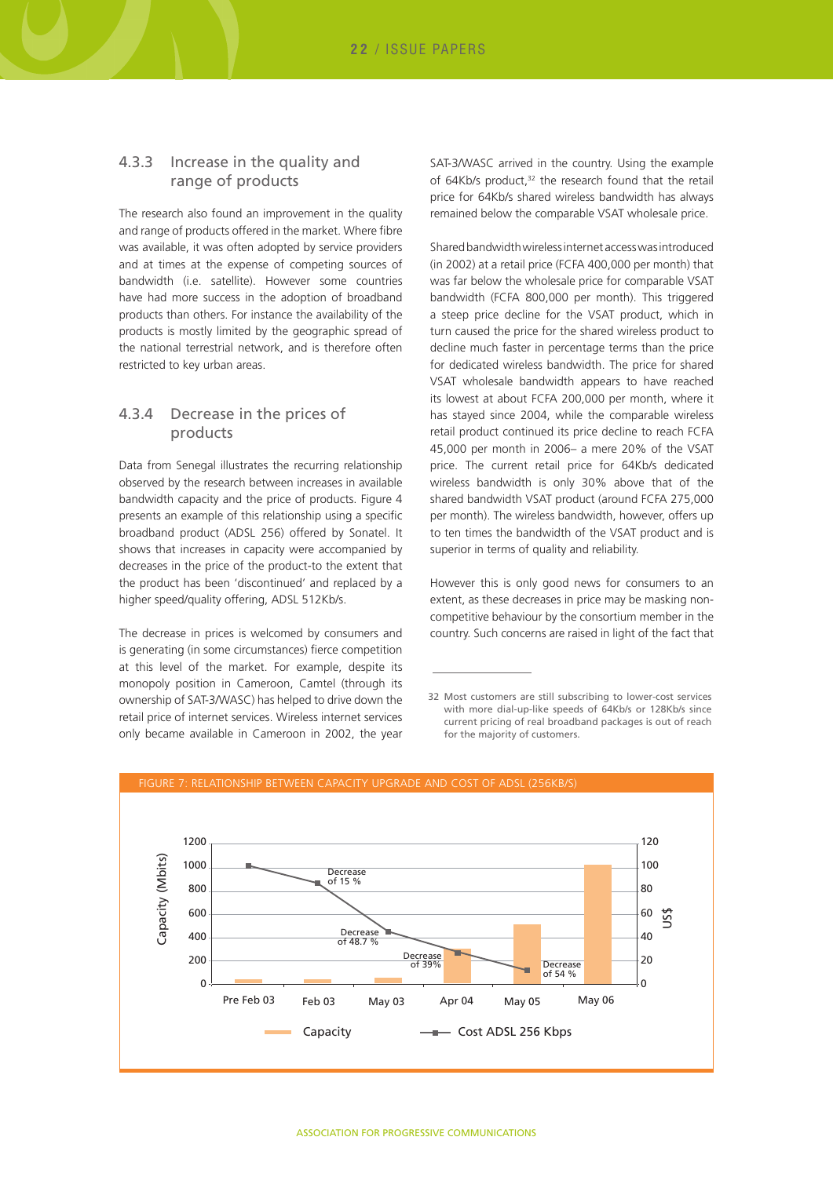#### 4.3.3 Increase in the quality and range of products

The research also found an improvement in the quality and range of products offered in the market. Where fibre was available, it was often adopted by service providers and at times at the expense of competing sources of bandwidth (i.e. satellite). However some countries have had more success in the adoption of broadband products than others. For instance the availability of the products is mostly limited by the geographic spread of the national terrestrial network, and is therefore often restricted to key urban areas.

#### 4.3.4 Decrease in the prices of products

Data from Senegal illustrates the recurring relationship observed by the research between increases in available bandwidth capacity and the price of products. Figure 4 presents an example of this relationship using a specific broadband product (ADSL 256) offered by Sonatel. It shows that increases in capacity were accompanied by decreases in the price of the product-to the extent that the product has been 'discontinued' and replaced by a higher speed/quality offering, ADSL 512Kb/s.

The decrease in prices is welcomed by consumers and is generating (in some circumstances) fierce competition at this level of the market. For example, despite its monopoly position in Cameroon, Camtel (through its ownership of SAT-3/WASC) has helped to drive down the retail price of internet services. Wireless internet services only became available in Cameroon in 2002, the year

SAT-3/WASC arrived in the country. Using the example of 64Kb/s product,<sup>32</sup> the research found that the retail price for 64Kb/s shared wireless bandwidth has always remained below the comparable VSAT wholesale price.

Shared bandwidth wireless internet access was introduced (in 2002) at a retail price (FCFA 400,000 per month) that was far below the wholesale price for comparable VSAT bandwidth (FCFA 800,000 per month). This triggered a steep price decline for the VSAT product, which in turn caused the price for the shared wireless product to decline much faster in percentage terms than the price for dedicated wireless bandwidth. The price for shared VSAT wholesale bandwidth appears to have reached its lowest at about FCFA 200,000 per month, where it has stayed since 2004, while the comparable wireless retail product continued its price decline to reach FCFA 45,000 per month in 2006– a mere 20% of the VSAT price. The current retail price for 64Kb/s dedicated wireless bandwidth is only 30% above that of the shared bandwidth VSAT product (around FCFA 275,000 per month). The wireless bandwidth, however, offers up to ten times the bandwidth of the VSAT product and is superior in terms of quality and reliability.

However this is only good news for consumers to an extent, as these decreases in price may be masking noncompetitive behaviour by the consortium member in the country. Such concerns are raised in light of the fact that

<sup>32</sup> Most customers are still subscribing to lower-cost services with more dial-up-like speeds of 64Kb/s or 128Kb/s since current pricing of real broadband packages is out of reach for the majority of customers.

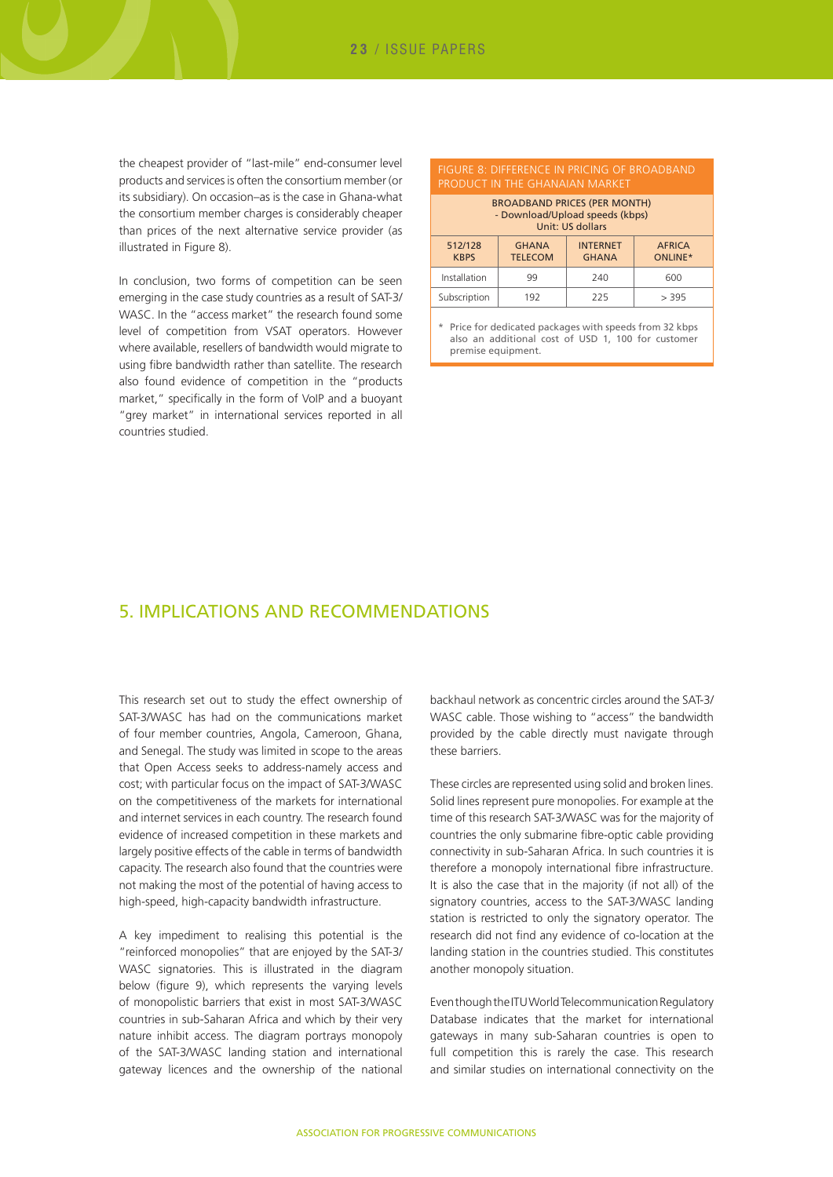the cheapest provider of "last-mile" end-consumer level products and services is often the consortium member (or its subsidiary). On occasion–as is the case in Ghana-what the consortium member charges is considerably cheaper than prices of the next alternative service provider (as illustrated in Figure 8).

In conclusion, two forms of competition can be seen emerging in the case study countries as a result of SAT-3/ WASC. In the "access market" the research found some level of competition from VSAT operators. However where available, resellers of bandwidth would migrate to using fibre bandwidth rather than satellite. The research also found evidence of competition in the "products market," specifically in the form of VoIP and a buoyant "grey market" in international services reported in all countries studied.

| FIGURE 8: DIFFERENCE IN PRICING OF BROADBAND<br>PRODUCT IN THE GHANAIAN MARKET             |                                |                                 |                          |  |  |  |  |  |
|--------------------------------------------------------------------------------------------|--------------------------------|---------------------------------|--------------------------|--|--|--|--|--|
| <b>BROADBAND PRICES (PER MONTH)</b><br>- Download/Upload speeds (kbps)<br>Unit: US dollars |                                |                                 |                          |  |  |  |  |  |
| 512/128<br><b>KBPS</b>                                                                     | <b>GHANA</b><br><b>TELECOM</b> | <b>INTERNET</b><br><b>GHANA</b> | <b>AFRICA</b><br>ONLINE* |  |  |  |  |  |
| Installation                                                                               | 99                             | 240                             | 600                      |  |  |  |  |  |
| Subscription<br>225<br>> 395<br>192                                                        |                                |                                 |                          |  |  |  |  |  |

Price for dedicated packages with speeds from 32 kbps also an additional cost of USD 1, 100 for customer premise equipment.

## 5. Implications and recommendations

This research set out to study the effect ownership of SAT-3/WASC has had on the communications market of four member countries, Angola, Cameroon, Ghana, and Senegal. The study was limited in scope to the areas that Open Access seeks to address-namely access and cost; with particular focus on the impact of SAT-3/WASC on the competitiveness of the markets for international and internet services in each country. The research found evidence of increased competition in these markets and largely positive effects of the cable in terms of bandwidth capacity. The research also found that the countries were not making the most of the potential of having access to high-speed, high-capacity bandwidth infrastructure.

A key impediment to realising this potential is the "reinforced monopolies" that are enjoyed by the SAT-3/ WASC signatories. This is illustrated in the diagram below (figure 9), which represents the varying levels of monopolistic barriers that exist in most SAT-3/WASC countries in sub-Saharan Africa and which by their very nature inhibit access. The diagram portrays monopoly of the SAT-3/WASC landing station and international gateway licences and the ownership of the national

backhaul network as concentric circles around the SAT-3/ WASC cable. Those wishing to "access" the bandwidth provided by the cable directly must navigate through these barriers.

These circles are represented using solid and broken lines. Solid lines represent pure monopolies. For example at the time of this research SAT-3/WASC was for the majority of countries the only submarine fibre-optic cable providing connectivity in sub-Saharan Africa. In such countries it is therefore a monopoly international fibre infrastructure. It is also the case that in the majority (if not all) of the signatory countries, access to the SAT-3/WASC landing station is restricted to only the signatory operator. The research did not find any evidence of co-location at the landing station in the countries studied. This constitutes another monopoly situation.

Even though the ITU World Telecommunication Regulatory Database indicates that the market for international gateways in many sub-Saharan countries is open to full competition this is rarely the case. This research and similar studies on international connectivity on the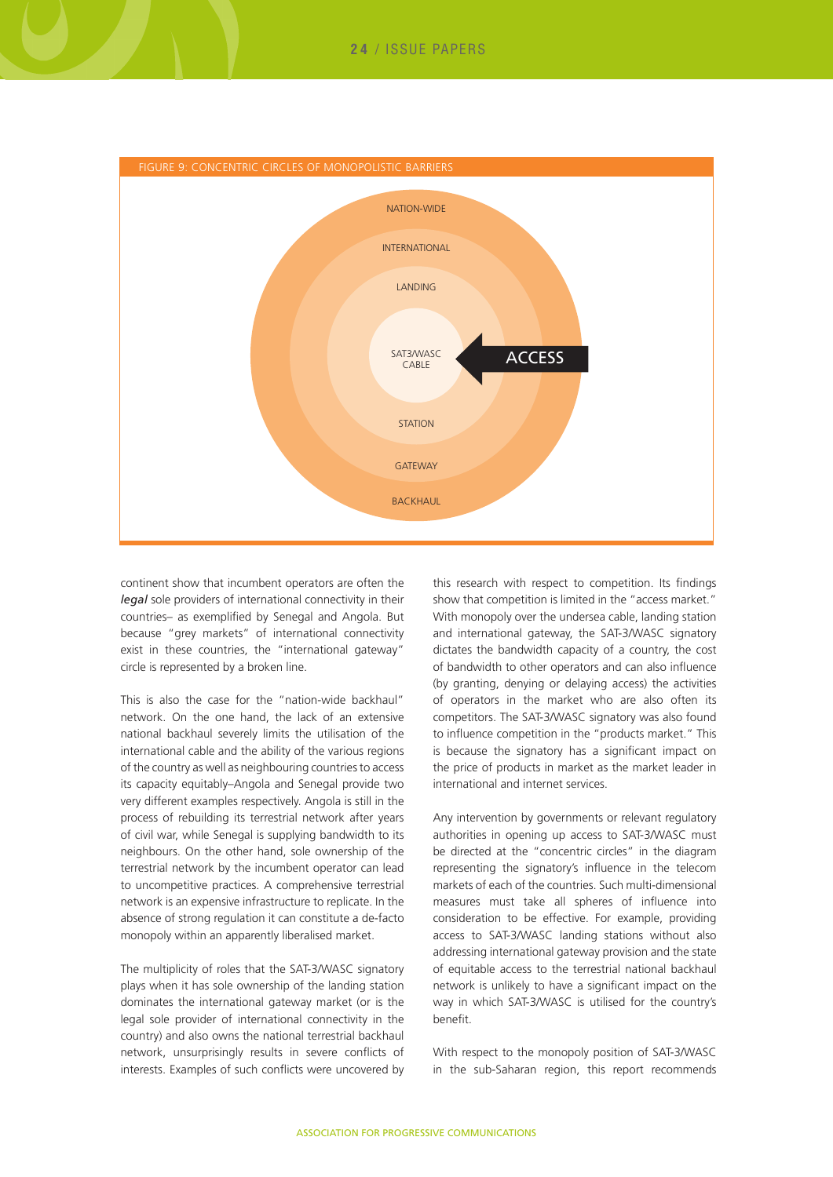

continent show that incumbent operators are often the *legal* sole providers of international connectivity in their countries– as exemplified by Senegal and Angola. But because "grey markets" of international connectivity exist in these countries, the "international gateway" circle is represented by a broken line.

This is also the case for the "nation-wide backhaul" network. On the one hand, the lack of an extensive national backhaul severely limits the utilisation of the international cable and the ability of the various regions of the country as well as neighbouring countries to access its capacity equitably–Angola and Senegal provide two very different examples respectively. Angola is still in the process of rebuilding its terrestrial network after years of civil war, while Senegal is supplying bandwidth to its neighbours. On the other hand, sole ownership of the terrestrial network by the incumbent operator can lead to uncompetitive practices. A comprehensive terrestrial network is an expensive infrastructure to replicate. In the absence of strong regulation it can constitute a de-facto monopoly within an apparently liberalised market.

The multiplicity of roles that the SAT-3/WASC signatory plays when it has sole ownership of the landing station dominates the international gateway market (or is the legal sole provider of international connectivity in the country) and also owns the national terrestrial backhaul network, unsurprisingly results in severe conflicts of interests. Examples of such conflicts were uncovered by

this research with respect to competition. Its findings show that competition is limited in the "access market." With monopoly over the undersea cable, landing station and international gateway, the SAT-3/WASC signatory dictates the bandwidth capacity of a country, the cost of bandwidth to other operators and can also influence (by granting, denying or delaying access) the activities of operators in the market who are also often its competitors. The SAT-3/WASC signatory was also found to influence competition in the "products market." This is because the signatory has a significant impact on the price of products in market as the market leader in international and internet services.

Any intervention by governments or relevant regulatory authorities in opening up access to SAT-3/WASC must be directed at the "concentric circles" in the diagram representing the signatory's influence in the telecom markets of each of the countries. Such multi-dimensional measures must take all spheres of influence into consideration to be effective. For example, providing access to SAT-3/WASC landing stations without also addressing international gateway provision and the state of equitable access to the terrestrial national backhaul network is unlikely to have a significant impact on the way in which SAT-3/WASC is utilised for the country's benefit.

With respect to the monopoly position of SAT-3/WASC in the sub-Saharan region, this report recommends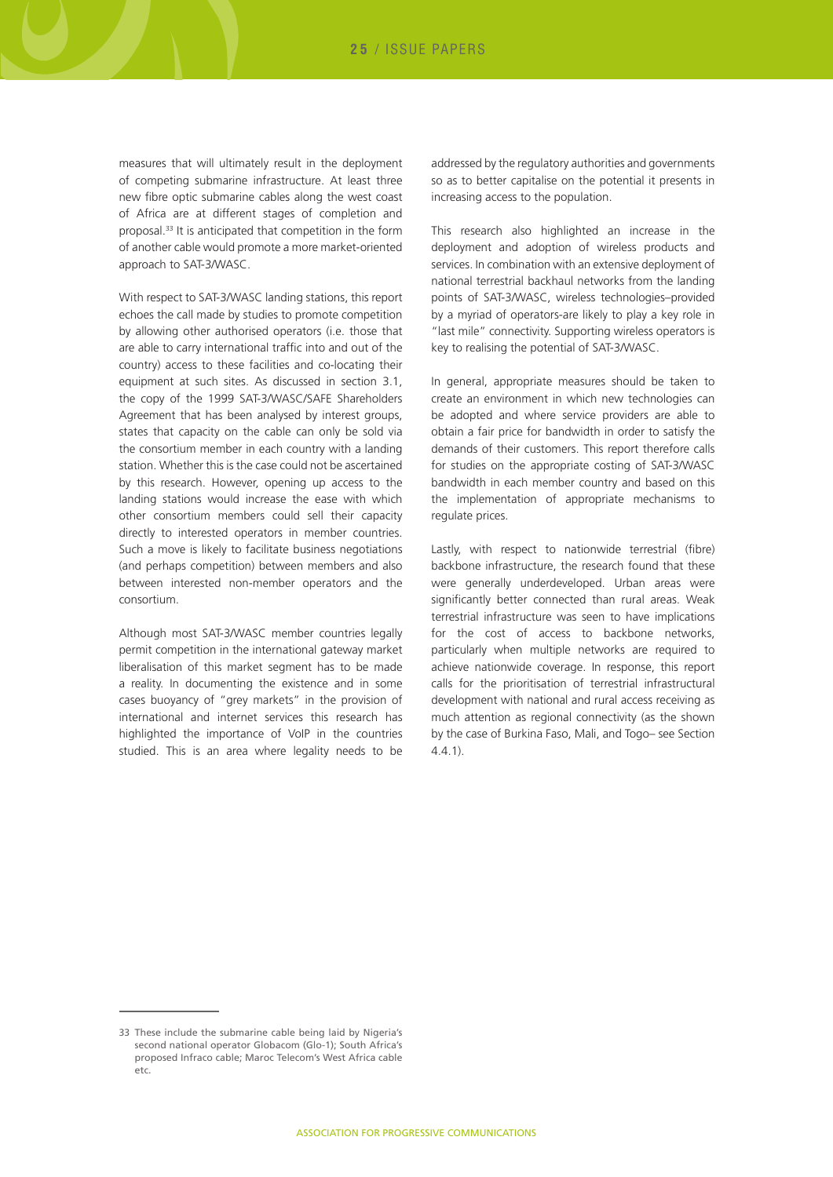measures that will ultimately result in the deployment of competing submarine infrastructure. At least three new fibre optic submarine cables along the west coast of Africa are at different stages of completion and proposal.33 It is anticipated that competition in the form of another cable would promote a more market-oriented approach to SAT-3/WASC.

With respect to SAT-3/WASC landing stations, this report echoes the call made by studies to promote competition by allowing other authorised operators (i.e. those that are able to carry international traffic into and out of the country) access to these facilities and co-locating their equipment at such sites. As discussed in section 3.1, the copy of the 1999 SAT-3/WASC/SAFE Shareholders Agreement that has been analysed by interest groups, states that capacity on the cable can only be sold via the consortium member in each country with a landing station. Whether this is the case could not be ascertained by this research. However, opening up access to the landing stations would increase the ease with which other consortium members could sell their capacity directly to interested operators in member countries. Such a move is likely to facilitate business negotiations (and perhaps competition) between members and also between interested non-member operators and the consortium.

Although most SAT-3/WASC member countries legally permit competition in the international gateway market liberalisation of this market segment has to be made a reality. In documenting the existence and in some cases buoyancy of "grey markets" in the provision of international and internet services this research has highlighted the importance of VoIP in the countries studied. This is an area where legality needs to be

addressed by the regulatory authorities and governments so as to better capitalise on the potential it presents in increasing access to the population.

This research also highlighted an increase in the deployment and adoption of wireless products and services. In combination with an extensive deployment of national terrestrial backhaul networks from the landing points of SAT-3/WASC, wireless technologies–provided by a myriad of operators-are likely to play a key role in "last mile" connectivity. Supporting wireless operators is key to realising the potential of SAT-3/WASC.

In general, appropriate measures should be taken to create an environment in which new technologies can be adopted and where service providers are able to obtain a fair price for bandwidth in order to satisfy the demands of their customers. This report therefore calls for studies on the appropriate costing of SAT-3/WASC bandwidth in each member country and based on this the implementation of appropriate mechanisms to regulate prices.

Lastly, with respect to nationwide terrestrial (fibre) backbone infrastructure, the research found that these were generally underdeveloped. Urban areas were significantly better connected than rural areas. Weak terrestrial infrastructure was seen to have implications for the cost of access to backbone networks, particularly when multiple networks are required to achieve nationwide coverage. In response, this report calls for the prioritisation of terrestrial infrastructural development with national and rural access receiving as much attention as regional connectivity (as the shown by the case of Burkina Faso, Mali, and Togo– see Section 4.4.1).

<sup>33</sup> These include the submarine cable being laid by Nigeria's second national operator Globacom (Glo-1); South Africa's proposed Infraco cable; Maroc Telecom's West Africa cable etc.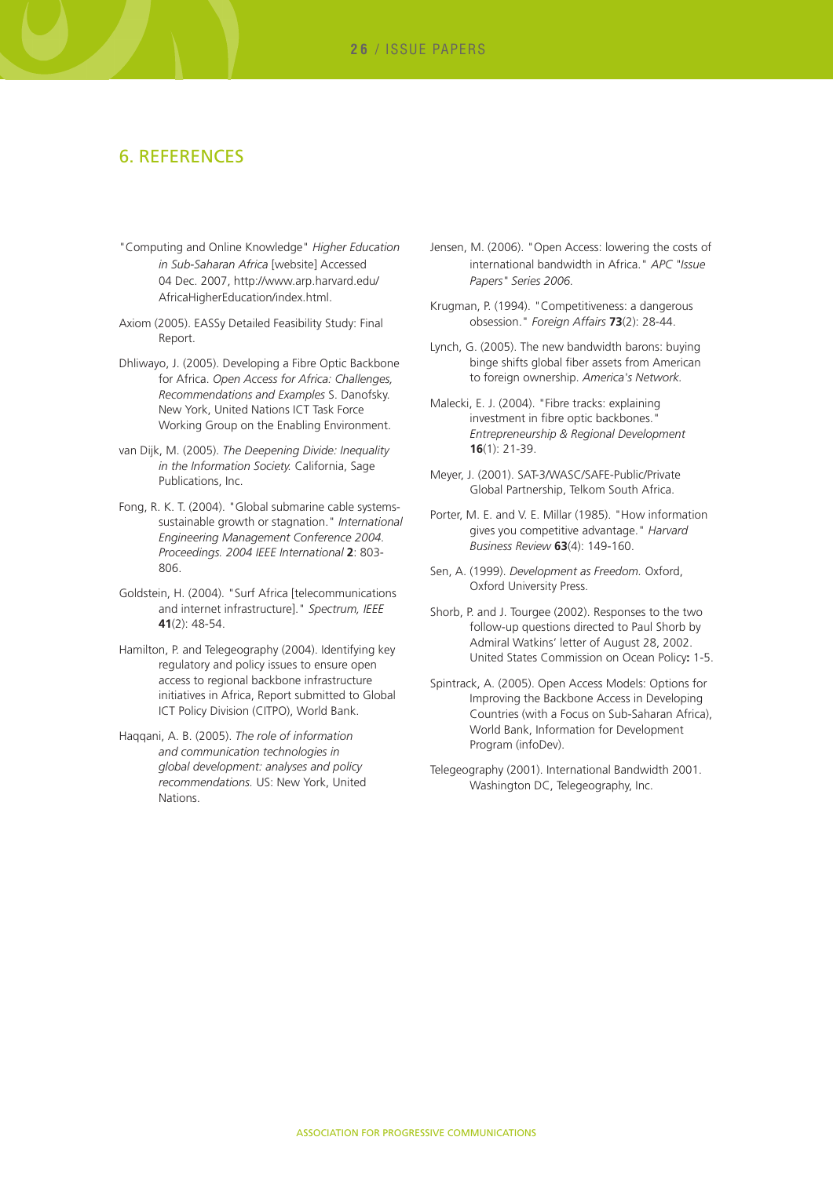#### 6. References

- "Computing and Online Knowledge" *Higher Education in Sub-Saharan Africa* [website] Accessed 04 Dec. 2007, http://www.arp.harvard.edu/ AfricaHigherEducation/index.html.
- Axiom (2005). EASSy Detailed Feasibility Study: Final Report.
- Dhliwayo, J. (2005). Developing a Fibre Optic Backbone for Africa. *Open Access for Africa: Challenges, Recommendations and Examples* S. Danofsky. New York, United Nations ICT Task Force Working Group on the Enabling Environment.
- van Dijk, M. (2005). *The Deepening Divide: Inequality in the Information Society.* California, Sage Publications, Inc.
- Fong, R. K. T. (2004). "Global submarine cable systemssustainable growth or stagnation." *International Engineering Management Conference 2004. Proceedings. 2004 IEEE International* **2**: 803- 806.
- Goldstein, H. (2004). "Surf Africa [telecommunications and internet infrastructure]." *Spectrum, IEEE* **41**(2): 48-54.
- Hamilton, P. and Telegeography (2004). Identifying key regulatory and policy issues to ensure open access to regional backbone infrastructure initiatives in Africa, Report submitted to Global ICT Policy Division (CITPO), World Bank.
- Haqqani, A. B. (2005). *The role of information and communication technologies in global development: analyses and policy recommendations.* US: New York, United **Nations**
- Jensen, M. (2006). "Open Access: lowering the costs of international bandwidth in Africa." *APC "Issue Papers" Series 2006.*
- Krugman, P. (1994). "Competitiveness: a dangerous obsession." *Foreign Affairs* **73**(2): 28-44.
- Lynch, G. (2005). The new bandwidth barons: buying binge shifts global fiber assets from American to foreign ownership. *America's Network.*
- Malecki, E. J. (2004). "Fibre tracks: explaining investment in fibre optic backbones." *Entrepreneurship & Regional Development* **16**(1): 21-39.
- Meyer, J. (2001). SAT-3/WASC/SAFE-Public/Private Global Partnership, Telkom South Africa.
- Porter, M. E. and V. E. Millar (1985). "How information gives you competitive advantage." *Harvard Business Review* **63**(4): 149-160.
- Sen, A. (1999). *Development as Freedom.* Oxford, Oxford University Press.
- Shorb, P. and J. Tourgee (2002). Responses to the two follow-up questions directed to Paul Shorb by Admiral Watkins' letter of August 28, 2002. United States Commission on Ocean Policy**:** 1-5.
- Spintrack, A. (2005). Open Access Models: Options for Improving the Backbone Access in Developing Countries (with a Focus on Sub-Saharan Africa), World Bank, Information for Development Program (infoDev).
- Telegeography (2001). International Bandwidth 2001. Washington DC, Telegeography, Inc.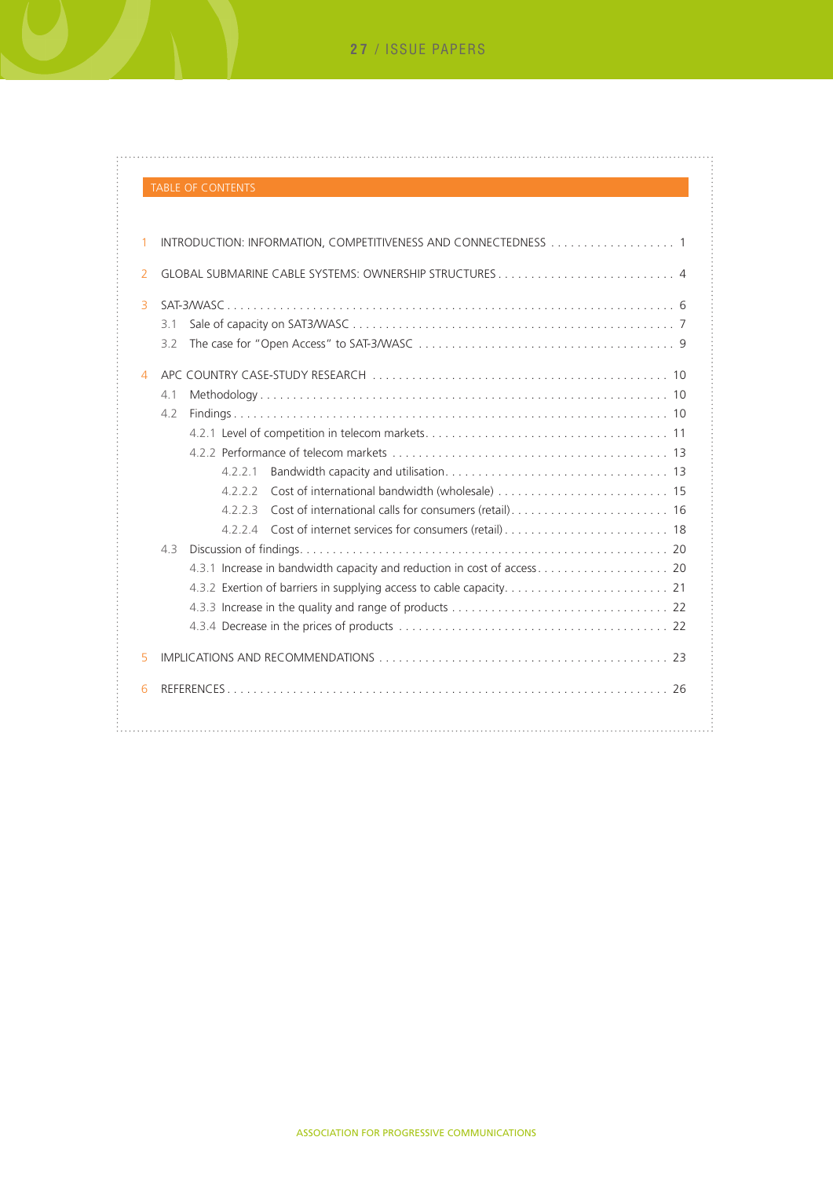## TABLE OF CONTENTS

 $\ddot{\phantom{0}}$ 

. . . . . . . . . . . . . . . . . . . .

ŧ.

| 1              | INTRODUCTION: INFORMATION, COMPETITIVENESS AND CONNECTEDNESS  1                                      |
|----------------|------------------------------------------------------------------------------------------------------|
| $\overline{2}$ | GLOBAL SUBMARINE CABLE SYSTEMS: OWNERSHIP STRUCTURES 4                                               |
| 3              | 3.1<br>32                                                                                            |
| 4              |                                                                                                      |
|                | 4.1                                                                                                  |
|                | 4.2                                                                                                  |
|                |                                                                                                      |
|                |                                                                                                      |
|                | 4221                                                                                                 |
|                |                                                                                                      |
|                | 4223                                                                                                 |
|                |                                                                                                      |
|                | 43                                                                                                   |
|                |                                                                                                      |
|                |                                                                                                      |
|                |                                                                                                      |
|                |                                                                                                      |
| 5              | IMPLICATIONS AND RECOMMENDATIONS (1) THE CONTRACT CONTRACT CONTRACT CONTRACT CONTRACT CONTRACT CONTR |
| 6              |                                                                                                      |
|                |                                                                                                      |